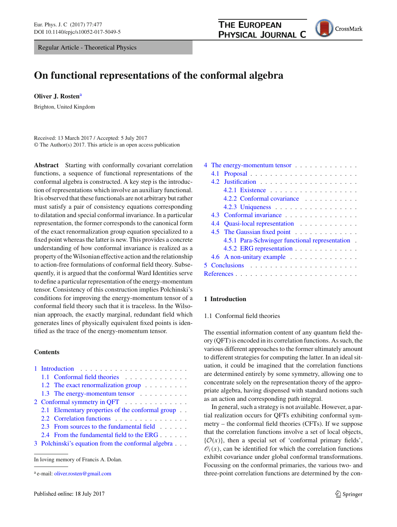Regular Article - Theoretical Physics



# **On functional representations of the conformal algebra**

**Oliver J. Rosten**<sup>a</sup>

Brighton, United Kingdom

Received: 13 March 2017 / Accepted: 5 July 2017 © The Author(s) 2017. This article is an open access publication

**Abstract** Starting with conformally covariant correlation functions, a sequence of functional representations of the conformal algebra is constructed. A key step is the introduction of representations which involve an auxiliary functional. It is observed that these functionals are not arbitrary but rather must satisfy a pair of consistency equations corresponding to dilatation and special conformal invariance. In a particular representation, the former corresponds to the canonical form of the exact renormalization group equation specialized to a fixed point whereas the latter is new. This provides a concrete understanding of how conformal invariance is realized as a property of the Wilsonian effective action and the relationship to action-free formulations of conformal field theory. Subsequently, it is argued that the conformal Ward Identities serve to define a particular representation of the energy-momentum tensor. Consistency of this construction implies Polchinski's conditions for improving the energy-momentum tensor of a conformal field theory such that it is traceless. In the Wilsonian approach, the exactly marginal, redundant field which generates lines of physically equivalent fixed points is identified as the trace of the energy-momentum tensor.

# **Contents**

|                             |  | 1.1 Conformal field theories                       |
|-----------------------------|--|----------------------------------------------------|
|                             |  | 1.2 The exact renormalization group                |
|                             |  | 1.3 The energy-momentum tensor                     |
| 2 Conformal symmetry in QFT |  |                                                    |
|                             |  | 2.1 Elementary properties of the conformal group   |
|                             |  | 2.2 Correlation functions                          |
|                             |  | 2.3 From sources to the fundamental field          |
|                             |  | 2.4 From the fundamental field to the ERG          |
|                             |  | 3 Polchinski's equation from the conformal algebra |
|                             |  |                                                    |

| 4 The energy-momentum tensor                    |                                |  |  |
|-------------------------------------------------|--------------------------------|--|--|
| 4.1                                             |                                |  |  |
|                                                 |                                |  |  |
|                                                 | 4.2.1 Existence                |  |  |
|                                                 | 4.2.2 Conformal covariance     |  |  |
|                                                 | 4.2.3 Uniqueness               |  |  |
|                                                 | 4.3 Conformal invariance       |  |  |
|                                                 | 4.4 Quasi-local representation |  |  |
|                                                 | 4.5 The Gaussian fixed point   |  |  |
| 4.5.1 Para-Schwinger functional representation. |                                |  |  |
|                                                 | 4.5.2 ERG representation       |  |  |
|                                                 | 4.6 A non-unitary example      |  |  |
|                                                 |                                |  |  |
|                                                 |                                |  |  |
|                                                 |                                |  |  |

# <span id="page-0-1"></span><span id="page-0-0"></span>**1 Introduction**

# 1.1 Conformal field theories

The essential information content of any quantum field theory (QFT) is encoded in its correlation functions. As such, the various different approaches to the former ultimately amount to different strategies for computing the latter. In an ideal situation, it could be imagined that the correlation functions are determined entirely by some symmetry, allowing one to concentrate solely on the representation theory of the appropriate algebra, having dispensed with standard notions such as an action and corresponding path integral.

In general, such a strategy is not available. However, a partial realization occurs for QFTs exhibiting conformal symmetry – the conformal field theories (CFTs). If we suppose that the correlation functions involve a set of local objects,  ${\cal O}(x)$ , then a special set of 'conformal primary fields',  $\mathcal{O}_i(x)$ , can be identified for which the correlation functions exhibit covariance under global conformal transformations. Focussing on the conformal primaries, the various two- and three-point correlation functions are determined by the con-

In loving memory of Francis A. Dolan.

<sup>&</sup>lt;sup>a</sup> e-mail: [oliver.rosten@gmail.com](mailto:oliver.rosten@gmail.com)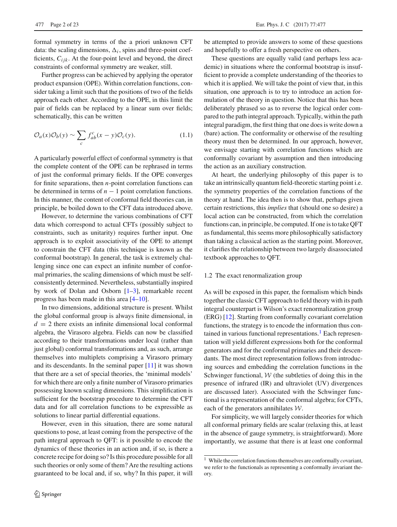formal symmetry in terms of the a priori unknown CFT data: the scaling dimensions,  $\Delta_i$ , spins and three-point coefficients,  $C_{ijk}$ . At the four-point level and beyond, the direct constraints of conformal symmetry are weaker, still.

Further progress can be achieved by applying the operator product expansion (OPE). Within correlation functions, consider taking a limit such that the positions of two of the fields approach each other. According to the OPE, in this limit the pair of fields can be replaced by a linear sum over fields; schematically, this can be written

$$
\mathcal{O}_a(x)\mathcal{O}_b(y) \sim \sum_c f_{ab}^c(x-y)\mathcal{O}_c(y). \tag{1.1}
$$

A particularly powerful effect of conformal symmetry is that the complete content of the OPE can be rephrased in terms of just the conformal primary fields. If the OPE converges for finite separations, then *n*-point correlation functions can be determined in terms of  $n - 1$  point correlation functions. In this manner, the content of conformal field theories can, in principle, be boiled down to the CFT data introduced above.

However, to determine the various combinations of CFT data which correspond to actual CFTs (possibly subject to constraints, such as unitarity) requires further input. One approach is to exploit associativity of the OPE to attempt to constrain the CFT data (this technique is known as the conformal bootstrap). In general, the task is extremely challenging since one can expect an infinite number of conformal primaries, the scaling dimensions of which must be selfconsistently determined. Nevertheless, substantially inspired by work of Dolan and Osborn  $[1-3]$  $[1-3]$ , remarkable recent progress has been made in this area [\[4](#page-21-3)[–10\]](#page-21-4).

In two dimensions, additional structure is present. Whilst the global conformal group is always finite dimensional, in  $d = 2$  there exists an infinite dimensional local conformal algebra, the Virasoro algebra. Fields can now be classified according to their transformations under local (rather than just global) conformal transformations and, as such, arrange themselves into multiplets comprising a Virasoro primary and its descendants. In the seminal paper [\[11](#page-21-5)] it was shown that there are a set of special theories, the 'minimal models' for which there are only a finite number of Virasoro primaries possessing known scaling dimensions. This simplification is sufficient for the bootstrap procedure to determine the CFT data and for all correlation functions to be expressible as solutions to linear partial differential equations.

However, even in this situation, there are some natural questions to pose, at least coming from the perspective of the path integral approach to QFT: is it possible to encode the dynamics of these theories in an action and, if so, is there a concrete recipe for doing so? Is this procedure possible for all such theories or only some of them? Are the resulting actions guaranteed to be local and, if so, why? In this paper, it will be attempted to provide answers to some of these questions and hopefully to offer a fresh perspective on others.

These questions are equally valid (and perhaps less academic) in situations where the conformal bootstrap is insufficient to provide a complete understanding of the theories to which it is applied. We will take the point of view that, in this situation, one approach is to try to introduce an action formulation of the theory in question. Notice that this has been deliberately phrased so as to reverse the logical order compared to the path integral approach. Typically, within the path integral paradigm, the first thing that one does is write down a (bare) action. The conformality or otherwise of the resulting theory must then be determined. In our approach, however, we envisage starting with correlation functions which are conformally covariant by assumption and then introducing the action as an auxiliary construction.

At heart, the underlying philosophy of this paper is to take an intrinsically quantum field-theoretic starting point i.e. the symmetry properties of the correlation functions of the theory at hand. The idea then is to show that, perhaps given certain restrictions, this *implies* that (should one so desire) a local action can be constructed, from which the correlation functions can, in principle, be computed. If one is to take QFT as fundamental, this seems more philosophically satisfactory than taking a classical action as the starting point. Moreover, it clarifies the relationship between two largely disassociated textbook approaches to QFT.

# <span id="page-1-0"></span>1.2 The exact renormalization group

As will be exposed in this paper, the formalism which binds together the classic CFT approach to field theory with its path integral counterpart is Wilson's exact renormalization group (ERG) [\[12](#page-21-6)]. Starting from conformally covariant correlation functions, the strategy is to encode the information thus contained in various functional representations.<sup>1</sup> Each representation will yield different expressions both for the conformal generators and for the conformal primaries and their descendants. The most direct representation follows from introducing sources and embedding the correlation functions in the Schwinger functional, *W* (the subtleties of doing this in the presence of infrared (IR) and ultraviolet (UV) divergences are discussed later). Associated with the Schwinger functional is a representation of the conformal algebra; for CFTs, each of the generators annihilates *W*.

For simplicity, we will largely consider theories for which all conformal primary fields are scalar (relaxing this, at least in the absence of gauge symmetry, is straightforward). More importantly, we assume that there is at least one conformal

<span id="page-1-1"></span><sup>1</sup> While the correlation functions themselves are conformally *co*variant, we refer to the functionals as representing a conformally *in*variant theory.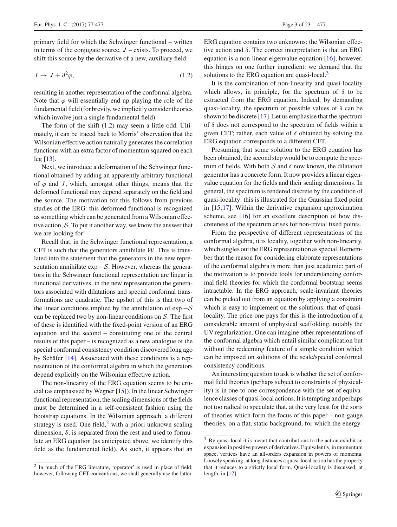primary field for which the Schwinger functional – written in terms of the conjugate source,  $J$  – exists. To proceed, we shift this source by the derivative of a new, auxiliary field:

$$
J \to J + \partial^2 \varphi,\tag{1.2}
$$

resulting in another representation of the conformal algebra. Note that  $\varphi$  will essentially end up playing the role of the fundamental field (for brevity, we implicitly consider theories which involve just a single fundamental field).

The form of the shift [\(1.2\)](#page-2-0) may seem a little odd. Ultimately, it can be traced back to Morris' observation that the Wilsonian effective action naturally generates the correlation functions with an extra factor of momentum squared on each leg [\[13\]](#page-21-7).

Next, we introduce a deformation of the Schwinger functional obtained by adding an apparently arbitrary functional of  $\varphi$  and *J*, which, amongst other things, means that the deformed functional may depend separately on the field and the source. The motivation for this follows from previous studies of the ERG: this deformed functional is recognized as something which can be generated from a Wilsonian effective action, *S*. To put it another way, we know the answer that we are looking for!

Recall that, in the Schwinger functional representation, a CFT is such that the generators annihilate *W*. This is translated into the statement that the generators in the new representation annihilate exp −*S*. However, whereas the generators in the Schwinger functional representation are linear in functional derivatives, in the new representation the generators associated with dilatations and special conformal transformations are quadratic. The upshot of this is that two of the linear conditions implied by the annihilation of exp −*S* can be replaced two by non-linear conditions on *S*. The first of these is identified with the fixed-point version of an ERG equation and the second – constituting one of the central results of this paper – is recognized as a new analogue of the special conformal consistency condition discovered long ago by Schäfer [\[14\]](#page-21-8). Associated with these conditions is a representation of the conformal algebra in which the generators depend explicitly on the Wilsonian effective action.

The non-linearity of the ERG equation seems to be crucial (as emphasised by Wegner [\[15\]](#page-21-9)). In the linear Schwinger functional representation, the scaling dimensions of the fields must be determined in a self-consistent fashion using the bootstrap equations. In the Wilsonian approach, a different strategy is used. One field, $\frac{2}{3}$  with a priori unknown scaling dimension,  $\delta$ , is separated from the rest and used to formulate an ERG equation (as anticipated above, we identify this field as the fundamental field). As such, it appears that an <span id="page-2-0"></span>ERG equation contains two unknowns: the Wilsonian effective action and  $\delta$ . The correct interpretation is that an ERG equation is a non-linear eigenvalue equation [\[16\]](#page-21-10); however, this hinges on one further ingredient: we demand that the solutions to the ERG equation are quasi-local. $3$ 

It is the combination of non-linearity and quasi-locality which allows, in principle, for the spectrum of  $\delta$  to be extracted from the ERG equation. Indeed, by demanding quasi-locality, the spectrum of possible values of  $\delta$  can be shown to be discrete [\[17](#page-21-11)]. Let us emphasise that the spectrum of  $\delta$  does not correspond to the spectrum of fields within a given CFT; rather, each value of  $\delta$  obtained by solving the ERG equation corresponds to a different CFT.

Presuming that some solution to the ERG equation has been obtained, the second step would be to compute the spectrum of fields. With both  $S$  and  $\delta$  now known, the dilatation generator has a concrete form. It now provides a linear eigenvalue equation for the fields and their scaling dimensions. In general, the spectrum is rendered discrete by the condition of quasi-locality: this is illustrated for the Gaussian fixed point in [\[15,](#page-21-9)[17\]](#page-21-11). Within the derivative expansion approximation scheme, see [\[16](#page-21-10)] for an excellent description of how discreteness of the spectrum arises for non-trivial fixed points.

From the perspective of different representations of the conformal algebra, it is locality, together with non-linearity, which singles out the ERG representation as special. Remember that the reason for considering elaborate representations of the conformal algebra is more than just academic: part of the motivation is to provide tools for understanding conformal field theories for which the conformal bootstrap seems intractable. In the ERG approach, scale-invariant theories can be picked out from an equation by applying a constraint which is easy to implement on the solutions: that of quasilocality. The price one pays for this is the introduction of a considerable amount of unphysical scaffolding, notably the UV regularization. One can imagine other representations of the conformal algebra which entail similar complication but without the redeeming feature of a simple condition which can be imposed on solutions of the scale/special conformal consistency conditions.

An interesting question to ask is whether the set of conformal field theories (perhaps subject to constraints of physicality) is in one-to-one correspondence with the set of equivalence classes of quasi-local actions. It is tempting and perhaps not too radical to speculate that, at the very least for the sorts of theories which form the focus of this paper – non-gauge theories, on a flat, static background, for which the energy-

<span id="page-2-1"></span><sup>2</sup> In much of the ERG literature, 'operator' is used in place of field; however, following CFT conventions, we shall generally use the latter.

<span id="page-2-2"></span><sup>&</sup>lt;sup>3</sup> By quasi-local it is meant that contributions to the action exhibit an expansion in positive powers of derivatives. Equivalently, in momentum space, vertices have an all-orders expansion in powers of momenta. Loosely speaking, at long distances a quasi-local action has the property that it reduces to a strictly local form. Quasi-locality is discussed, at length, in [\[17\]](#page-21-11).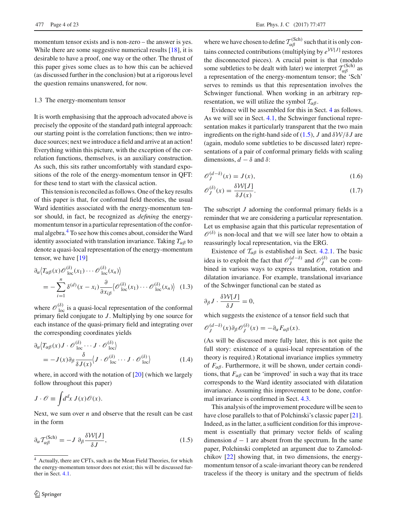momentum tensor exists and is non-zero – the answer is yes. While there are some suggestive numerical results [\[18](#page-21-12)], it is desirable to have a proof, one way or the other. The thrust of this paper gives some clues as to how this can be achieved (as discussed further in the conclusion) but at a rigorous level the question remains unanswered, for now.

#### <span id="page-3-0"></span>1.3 The energy-momentum tensor

It is worth emphasising that the approach advocated above is precisely the opposite of the standard path integral approach: our starting point is the correlation functions; then we introduce sources; next we introduce a field and arrive at an action! Everything within this picture, with the exception of the correlation functions, themselves, is an auxiliary construction. As such, this sits rather uncomfortably with standard expositions of the role of the energy-momentum tensor in QFT: for these tend to start with the classical action.

This tension is reconciled as follows. One of the key results of this paper is that, for conformal field theories, the usual Ward identities associated with the energy-momentum tensor should, in fact, be recognized as *defining* the energymomentum tensor in a particular representation of the confor-mal algebra.<sup>[4](#page-3-1)</sup> To see how this comes about, consider the Ward identity associated with translation invariance. Taking  $T_{\alpha\beta}$  to denote a quasi-local representation of the energy-momentum tensor, we have [\[19](#page-21-13)]

$$
\partial_{\alpha} \langle T_{\alpha\beta}(x) \mathcal{O}_{\text{loc}}^{(\delta)}(x_1) \cdots \mathcal{O}_{\text{loc}}^{(\delta)}(x_n) \rangle
$$
\n
$$
= -\sum_{i=1}^{n} \delta^{(d)}(x - x_i) \frac{\partial}{\partial x_{i\beta}} \langle \mathcal{O}_{\text{loc}}^{(\delta)}(x_1) \cdots \mathcal{O}_{\text{loc}}^{(\delta)}(x_n) \rangle \tag{1.3}
$$

where  $\mathscr{O}_{loc}^{(\delta)}$  is a quasi-local representation of the conformal primary field conjugate to *J* . Multiplying by one source for each instance of the quasi-primary field and integrating over the corresponding coordinates yields

$$
\partial_{\alpha} \langle T_{\alpha\beta}(x) J \cdot \mathscr{O}_{loc}^{(\delta)} \cdots J \cdot \mathscr{O}_{loc}^{(\delta)} \rangle
$$
  
= 
$$
-J(x) \partial_{\beta} \frac{\delta}{\delta J(x)} \langle J \cdot \mathscr{O}_{loc}^{(\delta)} \cdots J \cdot \mathscr{O}_{loc}^{(\delta)} \rangle
$$
(1.4)

where, in accord with the notation of  $[20]$  $[20]$  (which we largely follow throughout this paper)

$$
J \cdot \mathcal{O} \equiv \int d^dx \, J(x) \mathcal{O}(x).
$$

<span id="page-3-2"></span>Next, we sum over *n* and observe that the result can be cast in the form

$$
\partial_{\alpha} \mathcal{T}_{\alpha\beta}^{(\text{Sch})} = -J \partial_{\beta} \frac{\delta \mathcal{W}[J]}{\delta J},\tag{1.5}
$$

where we have chosen to define  $T_{\alpha\beta}^{(\text{Sch})}$  such that it is only contains connected contributions (multiplying by  $e^{W[J]}$  restores the disconnected pieces). A crucial point is that (modulo some subtleties to be dealt with later) we interpret  $T_{\alpha\beta}^{(\text{Sch})}$  as a representation of the energy-momentum tensor; the 'Sch' serves to reminds us that this representation involves the Schwinger functional. When working in an arbitrary representation, we will utilize the symbol  $\mathcal{T}_{\alpha\beta}$ .

Evidence will be assembled for this in Sect. [4](#page-11-0) as follows. As we will see in Sect. [4.1,](#page-11-1) the Schwinger functional representation makes it particularly transparent that the two main ingredients on the right-hand side of [\(1.5\)](#page-3-2), *J* and  $\delta W/\delta J$  are (again, modulo some subtleties to be discussed later) representations of a pair of conformal primary fields with scaling dimensions,  $d - \delta$  and  $\delta$ :

$$
\mathcal{O}_J^{(d-\delta)}(x) = J(x),\tag{1.6}
$$

$$
\mathcal{O}_J^{(\delta)}(x) = \frac{\delta \mathcal{W}[J]}{\delta J(x)}.\tag{1.7}
$$

The subscript *J* adorning the conformal primary fields is a reminder that we are considering a particular representation. Let us emphasise again that this particular representation of  $\mathcal{O}^{(\delta)}$  is non-local and that we will see later how to obtain a reassuringly local representation, via the ERG.

Existence of  $T_{\alpha\beta}$  is established in Sect. [4.2.1.](#page-13-1) The basic idea is to exploit the fact that  $\mathcal{O}_J^{(d-\delta)}$  and  $\mathcal{O}_J^{(\delta)}$  can be combined in various ways to express translation, rotation and dilatation invariance. For example, translational invariance of the Schwinger functional can be stated as

$$
\partial_{\beta} J \cdot \frac{\delta \mathcal{W}[J]}{\delta J} = 0,
$$

which suggests the existence of a tensor field such that

$$
\mathscr{O}_J^{(d-\delta)}(x)\partial_{\beta}\mathscr{O}_J^{(\delta)}(x) = -\partial_{\alpha} F_{\alpha\beta}(x).
$$

(As will be discussed more fully later, this is not quite the full story: existence of a quasi-local representation of the theory is required.) Rotational invariance implies symmetry of  $F_{\alpha\beta}$ . Furthermore, it will be shown, under certain conditions, that  $F_{\alpha\beta}$  can be 'improved' in such a way that its trace corresponds to the Ward identity associated with dilatation invariance. Assuming this improvement to be done, conformal invariance is confirmed in Sect. [4.3.](#page-16-0)

This analysis of the improvement procedure will be seen to have close parallels to that of Polchinski's classic paper [\[21](#page-21-15)]. Indeed, as in the latter, a sufficient condition for this improvement is essentially that primary vector fields of scaling dimension  $d - 1$  are absent from the spectrum. In the same paper, Polchinski completed an argument due to Zamolodchikov [\[22](#page-21-16)] showing that, in two dimensions, the energymomentum tensor of a scale-invariant theory can be rendered traceless if the theory is unitary and the spectrum of fields

<span id="page-3-1"></span><sup>4</sup> Actually, there are CFTs, such as the Mean Field Theories, for which the energy-momentum tensor does not exist; this will be discussed further in Sect. [4.1.](#page-11-1)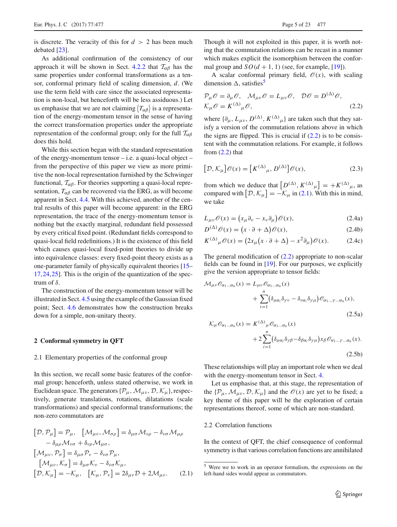is discrete. The veracity of this for  $d > 2$  has been much debated [\[23\]](#page-22-0).

As additional confirmation of the consistency of our approach it will be shown in Sect. [4.2.2](#page-15-0) that  $T_{\alpha\beta}$  has the same properties under conformal transformations as a tensor, conformal primary field of scaling dimension, *d*. (We use the term field with care since the associated representation is non-local, but henceforth will be less assiduous.) Let us emphasise that we are not claiming  $\langle T_{\alpha\beta} \rangle$  is a representation of the energy-momentum tensor in the sense of having the correct transformation properties under the appropriate representation of the conformal group; only for the full  $T_{\alpha\beta}$ does this hold.

While this section began with the standard representation of the energy-momentum tensor  $-$  i.e. a quasi-local object  $$ from the perspective of this paper we view as more primitive the non-local representation furnished by the Schwinger functional,  $\mathcal{T}_{\alpha\beta}$ . For theories supporting a quasi-local representation,  $T_{\alpha\beta}$  can be recovered via the ERG, as will become apparent in Sect. [4.4.](#page-16-1) With this achieved, another of the central results of this paper will become apparent: in the ERG representation, the trace of the energy-momentum tensor is nothing but the exactly marginal, redundant field possessed by every critical fixed point. (Redundant fields correspond to quasi-local field redefinitions.) It is the existence of this field which causes quasi-local fixed-point theories to divide up into equivalence classes: every fixed-point theory exists as a one-parameter family of physically equivalent theories [\[15](#page-21-9)– [17](#page-21-11)[,24](#page-22-1)[,25](#page-22-2)]. This is the origin of the quantization of the spectrum of  $\delta$ .

The construction of the energy-momentum tensor will be illustrated in Sect. [4.5](#page-18-0) using the example of the Gaussian fixed point; Sect. [4.6](#page-19-0) demonstrates how the construction breaks down for a simple, non-unitary theory.

## <span id="page-4-0"></span>**2 Conformal symmetry in QFT**

#### <span id="page-4-1"></span>2.1 Elementary properties of the conformal group

In this section, we recall some basic features of the conformal group; henceforth, unless stated otherwise, we work in Euclidean space. The generators  $\{\mathcal{P}_{\mu}, \mathcal{M}_{\mu\nu}, \mathcal{D}, \mathcal{K}_{\mu}\}\)$ , respectively, generate translations, rotations, dilatations (scale transformations) and special conformal transformations; the non-zero commutators are

$$
[\mathcal{D}, \mathcal{P}_{\mu}] = \mathcal{P}_{\mu}, \quad [\mathcal{M}_{\mu\nu}, \mathcal{M}_{\sigma\rho}] = \delta_{\mu\sigma} \mathcal{M}_{\nu\rho} - \delta_{\nu\sigma} \mathcal{M}_{\mu\rho} \n- \delta_{\mu\rho} \mathcal{M}_{\nu\sigma} + \delta_{\nu\rho} \mathcal{M}_{\mu\sigma}, \n[\mathcal{M}_{\mu\nu}, \mathcal{P}_{\sigma}] = \delta_{\mu\sigma} \mathcal{P}_{\nu} - \delta_{\nu\sigma} \mathcal{P}_{\mu}, \n[\mathcal{M}_{\mu\nu}, \mathcal{K}_{\sigma}] = \delta_{\mu\sigma} \mathcal{K}_{\nu} - \delta_{\nu\sigma} \mathcal{K}_{\mu}, \n[\mathcal{D}, \mathcal{K}_{\mu}] = -\mathcal{K}_{\mu}, \quad [\mathcal{K}_{\mu}, \mathcal{P}_{\nu}] = 2\delta_{\mu\nu} \mathcal{D} + 2\mathcal{M}_{\mu\nu}. \tag{2.1}
$$

Though it will not exploited in this paper, it is worth noting that the commutation relations can be recast in a manner which makes explicit the isomorphism between the conformal group and  $SO(d + 1, 1)$  (see, for example, [\[19](#page-21-13)]).

A scalar conformal primary field,  $\mathcal{O}(x)$ , with scaling dimension  $\Delta$ , satisfies<sup>[5](#page-4-3)</sup>

<span id="page-4-4"></span>
$$
\mathcal{P}_{\mu}\mathcal{O} = \partial_{\mu}\mathcal{O}, \quad \mathcal{M}_{\mu\nu}\mathcal{O} = L_{\mu\nu}\mathcal{O}, \quad \mathcal{D}\mathcal{O} = D^{(\Delta)}\mathcal{O},
$$
  

$$
\mathcal{K}_{\mu}\mathcal{O} = K^{(\Delta)}{}_{\mu}\mathcal{O}, \tag{2.2}
$$

where  $\{\partial_{\mu}, L_{\mu\nu}, D^{(\Delta)}, K^{(\Delta)}_{\mu}\}\$  are taken such that they satisfy a version of the commutation relations above in which the signs are flipped. This is crucial if  $(2.2)$  is to be consistent with the commutation relations. For example, it follows from  $(2.2)$  that

$$
[\mathcal{D}, \mathcal{K}_{\mu}]\mathscr{O}(x) = [K^{(\Delta)}_{\mu}, D^{(\Delta)}]\mathscr{O}(x), \tag{2.3}
$$

from which we deduce that  $[D^{(\Delta)}, K^{(\Delta)}_{\mu}] = +K^{(\Delta)}_{\mu}$ , as compared with  $[D, \mathcal{K}_{\mu}] = -\mathcal{K}_{\mu}$  in [\(2.1\)](#page-4-5). With this in mind, we take

<span id="page-4-6"></span>
$$
L_{\mu\nu}\mathscr{O}(x) = \left(x_{\mu}\partial_{\nu} - x_{\nu}\partial_{\mu}\right)\mathscr{O}(x),\tag{2.4a}
$$

$$
D^{(\Delta)}\mathscr{O}(x) = (x \cdot \partial + \Delta)\mathscr{O}(x),\tag{2.4b}
$$

<span id="page-4-8"></span><span id="page-4-7"></span>
$$
K^{(\Delta)}{}_{\mu}\mathscr{O}(x) = (2x_{\mu}\left(x \cdot \partial + \Delta\right) - x^2 \partial_{\mu}\right)\mathscr{O}(x). \tag{2.4c}
$$

The general modification of  $(2.2)$  appropriate to non-scalar fields can be found in [\[19\]](#page-21-13). For our purposes, we explicitly give the version appropriate to tensor fields:

<span id="page-4-9"></span>
$$
\mathcal{M}_{\mu\nu}\mathcal{O}_{\alpha_1...\alpha_n}(x) = L_{\mu\nu}\mathcal{O}_{\alpha_1...\alpha_n}(x) \n+ \sum_{i=1}^n (\delta_{\mu\alpha_i}\delta_{\gamma\nu} - \delta_{\nu\alpha_i}\delta_{\gamma\mu})\mathcal{O}_{\alpha_1...\gamma...\alpha_n}(x), \n\mathcal{K}_{\mu}\mathcal{O}_{\alpha_1...\alpha_n}(x) = K^{(\Delta)}_{\mu}\mathcal{O}_{\alpha_1...\alpha_n}(x) \n+ 2\sum_{i=1}^n (\delta_{\mu\alpha_i}\delta_{\gamma\beta} - \delta_{\beta\alpha_i}\delta_{\gamma\mu})x_{\beta}\mathcal{O}_{\alpha_1...\gamma...\alpha_n}(x).
$$
\n(2.5a)

$$
i=1
$$
\n(2.5b)

These relationships will play an important role when we deal with the energy-momentum tensor in Sect. [4.](#page-11-0)

Let us emphasise that, at this stage, the representation of the  $\{P_{\mu}, \mathcal{M}_{\mu\nu}, \mathcal{D}, \mathcal{K}_{\mu}\}\$  and the  $\mathcal{O}(x)$  are yet to be fixed; a key theme of this paper will be the exploration of certain representations thereof, some of which are non-standard.

## <span id="page-4-2"></span>2.2 Correlation functions

In the context of QFT, the chief consequence of conformal symmetry is that various correlation functions are annihilated

<span id="page-4-5"></span><span id="page-4-3"></span><sup>5</sup> Were we to work in an operator formalism, the expressions on the left-hand sides would appear as commutators.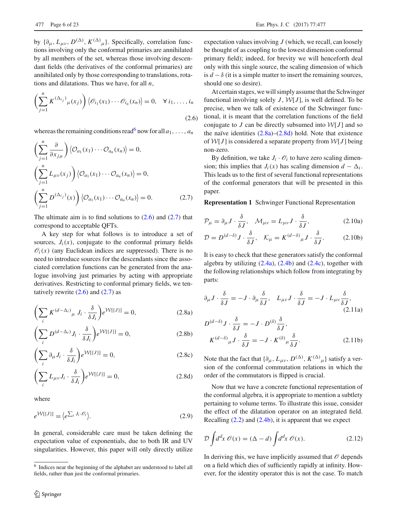by  $\{\partial_{\mu}, L_{\mu\nu}, D^{(\Delta)}, K^{(\Delta)}_{\mu}\}$ . Specifically, correlation functions involving only the conformal primaries are annihilated by all members of the set, whereas those involving descendant fields (the derivatives of the conformal primaries) are annihilated only by those corresponding to translations, rotations and dilatations. Thus we have, for all *n*,

<span id="page-5-1"></span>
$$
\left(\sum_{j=1}^{n} K^{(\Delta_{i_j})} \mu(x_j)\right) \langle \mathcal{O}_{i_1}(x_1) \cdots \mathcal{O}_{i_n}(x_n) \rangle = 0, \quad \forall i_1, \ldots, i_n
$$
\n(2.6)

whereas the remaining conditions read<sup>6</sup> now for all  $a_1, \ldots, a_n$ 

<span id="page-5-2"></span>
$$
\left(\sum_{j=1}^{n} \frac{\partial}{\partial x_{j\mu}}\right) \langle \mathcal{O}_{a_1}(x_1) \cdots \mathcal{O}_{a_n}(x_n) \rangle = 0,
$$
  
\n
$$
\left(\sum_{j=1}^{n} L_{\mu\nu}(x_j)\right) \langle \mathcal{O}_{a_1}(x_1) \cdots \mathcal{O}_{a_n}(x_n) \rangle = 0,
$$
  
\n
$$
\left(\sum_{j=1}^{n} D^{(\Delta_{ij})}(x)\right) \langle \mathcal{O}_{a_1}(x_1) \cdots \mathcal{O}_{a_n}(x_n) \rangle = 0.
$$
 (2.7)

The ultimate aim is to find solutions to  $(2.6)$  and  $(2.7)$  that correspond to acceptable QFTs.

A key step for what follows is to introduce a set of sources,  $J_i(x)$ , conjugate to the conformal primary fields  $\mathcal{O}_i(x)$  (any Euclidean indices are suppressed). There is no need to introduce sources for the descendants since the associated correlation functions can be generated from the analogue involving just primaries by acting with appropriate derivatives. Restricting to conformal primary fields, we tentatively rewrite  $(2.6)$  and  $(2.7)$  as

$$
\left(\sum_{i} K^{(d-\Delta_{i})}{}_{\mu} J_{i} \cdot \frac{\delta}{\delta J_{i}}\right) e^{\mathcal{W}[\{J\}]} = 0, \tag{2.8a}
$$

$$
\left(\sum_{i} D^{(d-\Delta_i)} J_i \cdot \frac{\delta}{\delta J_i}\right) e^{\mathcal{W}[\{J\}]} = 0, \tag{2.8b}
$$

$$
\left(\sum_{i} \partial_{\mu} J_{i} \cdot \frac{\delta}{\delta J_{i}}\right) e^{\mathcal{W}[\{J\}]} = 0, \qquad (2.8c)
$$

$$
\left(\sum_{i} L_{\mu\nu} J_i \cdot \frac{\delta}{\delta J_i}\right) e^{\mathcal{W}[\{J\}]} = 0, \tag{2.8d}
$$

where

$$
e^{\mathcal{W}[\{J\}]} = \langle e^{\sum_{i} J_i \cdot \mathcal{O}_i} \rangle. \tag{2.9}
$$

In general, considerable care must be taken defining the expectation value of exponentials, due to both IR and UV singularities. However, this paper will only directly utilize expectation values involving *J* (which, we recall, can loosely be thought of as coupling to the lowest dimension conformal primary field); indeed, for brevity we will henceforth deal only with this single source, the scaling dimension of which is  $d - \delta$  (it is a simple matter to insert the remaining sources, should one so desire).

At certain stages, we will simply assume that the Schwinger functional involving solely  $J$ ,  $W[J]$ , is well defined. To be precise, when we talk of existence of the Schwinger functional, it is meant that the correlation functions of the field conjugate to *J* can be directly subsumed into  $W[J]$  and so the naïve identities  $(2.8a)$ – $(2.8d)$  hold. Note that existence of  $W[J]$  is considered a separate property from  $W[J]$  being non-zero.

By definition, we take  $J_i \cdot \mathcal{O}_i$  to have zero scaling dimension; this implies that *J<sub>i</sub>*(*x*) has scaling dimension  $d - \Delta_i$ . This leads us to the first of several functional representations of the conformal generators that will be presented in this paper.

**Representation 1** Schwinger Functional Representation

$$
\mathcal{P}_{\mu} = \partial_{\mu} J \cdot \frac{\delta}{\delta J}, \quad \mathcal{M}_{\mu\nu} = L_{\mu\nu} J \cdot \frac{\delta}{\delta J}, \tag{2.10a}
$$

$$
\mathcal{D} = D^{(d-\delta)}J \cdot \frac{\delta}{\delta J}, \quad \mathcal{K}_{\mu} = K^{(d-\delta)}{}_{\mu}J \cdot \frac{\delta}{\delta J}.
$$
 (2.10b)

It is easy to check that these generators satisfy the conformal algebra by utilizing  $(2.4a)$ ,  $(2.4b)$  and  $(2.4c)$ , together with the following relationships which follow from integrating by parts:

$$
\partial_{\mu} J \cdot \frac{\delta}{\delta J} = -J \cdot \partial_{\mu} \frac{\delta}{\delta J}, \quad L_{\mu\nu} J \cdot \frac{\delta}{\delta J} = -J \cdot L_{\mu\nu} \frac{\delta}{\delta J},
$$
\n(2.11a)

<span id="page-5-3"></span>
$$
D^{(d-\delta)}J \cdot \frac{\delta}{\delta J} = -J \cdot D^{(\delta)} \frac{\delta}{\delta J},
$$
  

$$
K^{(d-\delta)}\mu J \cdot \frac{\delta}{\delta J} = -J \cdot K^{(\delta)}\mu \frac{\delta}{\delta J}.
$$
 (2.11b)

Note that the fact that  $\{\partial_{\mu}, L_{\mu\nu}, D^{(\Delta)}, K^{(\Delta)}_{\mu}\}$  satisfy a version of the conformal commutation relations in which the order of the commutators is flipped is crucial.

<span id="page-5-4"></span>Now that we have a concrete functional representation of the conformal algebra, it is appropriate to mention a subtlety pertaining to volume terms. To illustrate this issue, consider the effect of the dilatation operator on an integrated field. Recalling  $(2.2)$  and  $(2.4b)$ , it is apparent that we expect

<span id="page-5-5"></span>
$$
\mathcal{D}\int d^d x \,\mathcal{O}(x) = (\Delta - d) \int d^d x \,\mathcal{O}(x). \tag{2.12}
$$

In deriving this, we have implicitly assumed that  $\mathcal O$  depends on a field which dies of sufficiently rapidly at infinity. However, for the identity operator this is not the case. To match

<span id="page-5-0"></span><sup>6</sup> Indices near the beginning of the alphabet are understood to label all fields, rather than just the conformal primaries.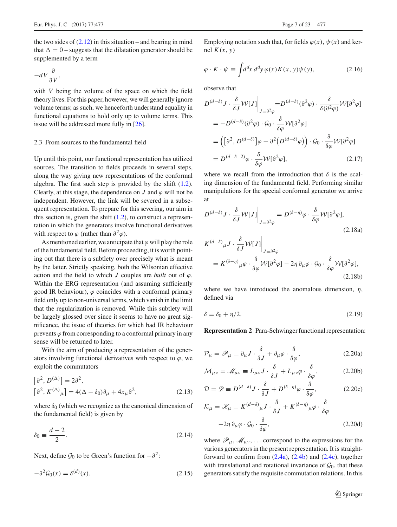the two sides of  $(2.12)$  in this situation – and bearing in mind that  $\Delta = 0$  – suggests that the dilatation generator should be supplemented by a term

$$
-dV\frac{\partial}{\partial V},
$$

with *V* being the volume of the space on which the field theory lives. For this paper, however, we will generally ignore volume terms; as such, we henceforth understand equality in functional equations to hold only up to volume terms. This issue will be addressed more fully in [\[26\]](#page-22-3).

### <span id="page-6-0"></span>2.3 From sources to the fundamental field

Up until this point, our functional representation has utilized sources. The transition to fields proceeds in several steps, along the way giving new representations of the conformal algebra. The first such step is provided by the shift [\(1.2\)](#page-2-0). Clearly, at this stage, the dependence on *J* and  $\varphi$  will not be independent. However, the link will be severed in a subsequent representation. To prepare for this severing, our aim in this section is, given the shift  $(1.2)$ , to construct a representation in which the generators involve functional derivatives with respect to  $\varphi$  (rather than  $\partial^2 \varphi$ ).

As mentioned earlier, we anticipate that  $\varphi$  will play the role of the fundamental field. Before proceeding, it is worth pointing out that there is a subtlety over precisely what is meant by the latter. Strictly speaking, both the Wilsonian effective action and the field to which  $J$  couples are *built* out of  $\varphi$ . Within the ERG representation (and assuming sufficiently good IR behaviour),  $\varphi$  coincides with a conformal primary field only up to non-universal terms, which vanish in the limit that the regularization is removed. While this subtlety will be largely glossed over since it seems to have no great significance, the issue of theories for which bad IR behaviour prevents  $\varphi$  from corresponding to a conformal primary in any sense will be returned to later.

With the aim of producing a representation of the generators involving functional derivatives with respect to  $\varphi$ , we exploit the commutators

$$
[\partial^2, D^{(\Delta)}] = 2\partial^2,
$$
  
\n
$$
[\partial^2, K^{(\Delta)}{}_{\mu}] = 4(\Delta - \delta_0)\partial_{\mu} + 4x_{\mu}\partial^2,
$$
\n(2.13)

where  $\delta_0$  (which we recognize as the canonical dimension of the fundamental field) is given by

$$
\delta_0 \equiv \frac{d-2}{2}.\tag{2.14}
$$

Next, define  $\mathcal{G}_0$  to be Green's function for  $-\partial^2$ :

$$
-\partial^2 \mathcal{G}_0(x) = \delta^{(d)}(x). \tag{2.15}
$$

Employing notation such that, for fields  $\varphi(x)$ ,  $\psi(x)$  and kernel  $K(x, y)$ 

$$
\varphi \cdot K \cdot \psi \equiv \int d^d x \, d^d y \, \varphi(x) K(x, y) \psi(y), \tag{2.16}
$$

observe that

$$
D^{(d-\delta)} J \cdot \frac{\delta}{\delta J} W[J] \Big|_{J=\partial^2 \varphi} = D^{(d-\delta)} (\partial^2 \varphi) \cdot \frac{\delta}{\delta (\partial^2 \varphi)} W[\partial^2 \varphi]
$$
  
=  $-D^{(d-\delta)} (\partial^2 \varphi) \cdot \mathcal{G}_0 \cdot \frac{\delta}{\delta \varphi} W[\partial^2 \varphi]$   
=  $([\partial^2, D^{(d-\delta)}] \varphi - \partial^2 (D^{(d-\delta)} \varphi)) \cdot \mathcal{G}_0 \cdot \frac{\delta}{\delta \varphi} W[\partial^2 \varphi]$   
=  $D^{(d-\delta-2)} \varphi \cdot \frac{\delta}{\delta \varphi} W[\partial^2 \varphi],$  (2.17)

where we recall from the introduction that  $\delta$  is the scaling dimension of the fundamental field. Performing similar manipulations for the special conformal generator we arrive at

$$
D^{(d-\delta)} J \cdot \frac{\delta}{\delta J} W[J] \Big|_{J=\partial^2 \varphi} = D^{(\delta-\eta)} \varphi \cdot \frac{\delta}{\delta \varphi} W[\partial^2 \varphi],
$$
  
\n
$$
K^{(d-\delta)}{}_{\mu} J \cdot \frac{\delta}{\delta J} W[J] \Big|_{J=\partial^2 \varphi}
$$
  
\n
$$
= K^{(\delta-\eta)}{}_{\mu} \varphi \cdot \frac{\delta}{\delta \varphi} W[\partial^2 \varphi] - 2\eta \partial_{\mu} \varphi \cdot \mathcal{G}_0 \cdot \frac{\delta}{\delta \varphi} W[\partial^2 \varphi],
$$
  
\n(2.18a)

<span id="page-6-2"></span>where we have introduced the anomalous dimension,  $\eta$ , defined via

$$
\delta = \delta_0 + \eta/2. \tag{2.19}
$$

**Representation 2** Para-Schwinger functional representation:

<span id="page-6-1"></span>
$$
\mathcal{P}_{\mu} = \mathscr{P}_{\mu} \equiv \partial_{\mu} J \cdot \frac{\delta}{\delta J} + \partial_{\mu} \varphi \cdot \frac{\delta}{\delta \varphi}, \qquad (2.20a)
$$

$$
\mathcal{M}_{\mu\nu} = \mathcal{M}_{\mu\nu} \equiv L_{\mu\nu}J \cdot \frac{\delta}{\delta J} + L_{\mu\nu}\varphi \cdot \frac{\delta}{\delta \varphi},\tag{2.20b}
$$

$$
\mathcal{D} = \mathscr{D} \equiv D^{(d-\delta)}J \cdot \frac{\delta}{\delta J} + D^{(\delta-\eta)}\varphi \cdot \frac{\delta}{\delta \varphi},\tag{2.20c}
$$

$$
\mathcal{K}_{\mu} = \mathcal{K}_{\mu} \equiv K^{(d-\delta)}{}_{\mu} J \cdot \frac{\delta}{\delta J} + K^{(\delta-\eta)}{}_{\mu} \varphi \cdot \frac{\delta}{\delta \varphi}
$$

$$
-2\eta \, \partial_{\mu} \varphi \cdot \mathcal{G}_0 \cdot \frac{\delta}{\delta \varphi}, \tag{2.20d}
$$

<span id="page-6-3"></span>where  $\mathscr{P}_{\mu}$ ,  $\mathscr{M}_{\mu\nu}$ , ... correspond to the expressions for the various generators in the present representation. It is straightforward to confirm from  $(2.4a)$ ,  $(2.4b)$  and  $(2.4c)$ , together with translational and rotational invariance of  $\mathcal{G}_0$ , that these generators satisfy the requisite commutation relations. In this

(2.18b)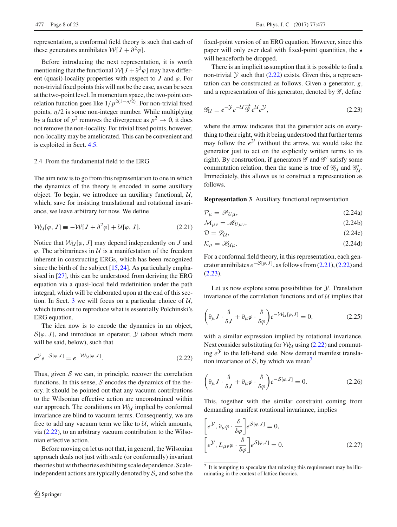representation, a conformal field theory is such that each of these generators annihilates  $W[J + \partial^2 \varphi]$ .

Before introducing the next representation, it is worth mentioning that the functional  $W[J + \partial^2 \varphi]$  may have different (quasi)-locality properties with respect to  $J$  and  $\varphi$ . For non-trivial fixed points this will not be the case, as can be seen at the two-point level. In momentum space, the two-point correlation function goes like  $1/p^{2(1-\eta/2)}$ . For non-trivial fixed points,  $\eta/2$  is some non-integer number. While multiplying by a factor of  $p^2$  removes the divergence as  $p^2 \to 0$ , it does not remove the non-locality. For trivial fixed points, however, non-locality may be ameliorated. This can be convenient and is exploited in Sect. [4.5.](#page-18-0)

# <span id="page-7-0"></span>2.4 From the fundamental field to the ERG

The aim now is to go from this representation to one in which the dynamics of the theory is encoded in some auxiliary object. To begin, we introduce an auxiliary functional, *U*, which, save for insisting translational and rotational invariance, we leave arbitrary for now. We define

$$
\mathcal{W}_{\mathcal{U}}[\varphi, J] \equiv -\mathcal{W}[J + \partial^2 \varphi] + \mathcal{U}[\varphi, J]. \tag{2.21}
$$

Notice that  $W_{\mathcal{U}}[\varphi, J]$  may depend independently on *J* and  $\varphi$ . The arbitrariness in  $\mathcal U$  is a manifestation of the freedom inherent in constructing ERGs, which has been recognized since the birth of the subject  $[15,24]$  $[15,24]$  $[15,24]$ . As particularly emphasised in [\[27\]](#page-22-4), this can be understood from deriving the ERG equation via a quasi-local field redefinition under the path integral, which will be elaborated upon at the end of this section. In Sect. [3](#page-9-0) we will focus on a particular choice of *U*, which turns out to reproduce what is essentially Polchinski's ERG equation.

The idea now is to encode the dynamics in an object,  $S[\varphi, J]$ , and introduce an operator,  $\mathcal Y$  (about which more will be said, below), such that

<span id="page-7-1"></span>
$$
e^{\mathcal{Y}}e^{-S[\varphi,J]} = e^{-\mathcal{W}_{\mathcal{U}}[\varphi,J]}.
$$
\n(2.22)

Thus, given  $S$  we can, in principle, recover the correlation functions. In this sense, *S* encodes the dynamics of the theory. It should be pointed out that any vacuum contributions to the Wilsonian effective action are unconstrained within our approach. The conditions on  $W_{\mathcal{U}}$  implied by conformal invariance are blind to vacuum terms. Consequently, we are free to add any vacuum term we like to  $U$ , which amounts, via [\(2.22\)](#page-7-1), to an arbitrary vacuum contribution to the Wilsonian effective action.

Before moving on let us not that, in general, the Wilsonian approach deals not just with scale (or conformally) invariant theories but with theories exhibiting scale dependence. Scaleindependent actions are typically denoted by  $S_{\star}$  and solve the

fixed-point version of an ERG equation. However, since this paper will only ever deal with fixed-point quantities, the  $\star$ will henceforth be dropped.

There is an implicit assumption that it is possible to find a non-trivial  $\mathcal Y$  such that [\(2.22\)](#page-7-1) exists. Given this, a representation can be constructed as follows. Given a generator, *g*, and a representation of this generator, denoted by *G* , define

<span id="page-7-3"></span>
$$
\mathcal{G}_{\mathcal{U}} \equiv e^{-\mathcal{Y}} e^{-\mathcal{U}} \overrightarrow{\mathcal{G}} e^{\mathcal{U}} e^{\mathcal{Y}},\tag{2.23}
$$

where the arrow indicates that the generator acts on everything to their right, with it being understood that further terms may follow the  $e^{\gamma}$  (without the arrow, we would take the generator just to act on the explicitly written terms to its right). By construction, if generators  $\mathscr G$  and  $\mathscr G'$  satisfy some commutation relation, then the same is true of  $\mathcal{G}_U$  and  $\mathcal{G}'_U$ . Immediately, this allows us to construct a representation as follows.

<span id="page-7-2"></span>**Representation 3** Auxiliary functional representation

<span id="page-7-6"></span>
$$
\mathcal{P}_{\mu} = \mathcal{P}_{U\mu},\tag{2.24a}
$$

$$
\mathcal{M}_{\mu\nu} = \mathcal{M}_{U\mu\nu},\tag{2.24b}
$$

$$
\mathcal{D} = \mathcal{D}\mathcal{U},\tag{2.24c}
$$

$$
\mathcal{K}_{\mu} = \mathscr{K}_{\mathcal{U}\mu}.\tag{2.24d}
$$

For a conformal field theory, in this representation, each generator annihilates  $e^{-S[\varphi, J]}$ , as follows from [\(2.21\)](#page-7-2), [\(2.22\)](#page-7-1) and [\(2.23\)](#page-7-3).

Let us now explore some possibilities for *Y*. Translation invariance of the correlation functions and of *U* implies that

$$
\left(\partial_{\mu}J \cdot \frac{\delta}{\delta J} + \partial_{\mu}\varphi \cdot \frac{\delta}{\delta\varphi}\right) e^{-\mathcal{W}_{\mathcal{U}}[\varphi, J]} = 0, \tag{2.25}
$$

with a similar expression implied by rotational invariance. Next consider substituting for  $W_U$  using [\(2.22\)](#page-7-1) and commuting  $e^{\mathcal{Y}}$  to the left-hand side. Now demand manifest translation invariance of  $S$ , by which we mean<sup>7</sup>

$$
\left(\partial_{\mu}J \cdot \frac{\delta}{\delta J} + \partial_{\mu}\varphi \cdot \frac{\delta}{\delta\varphi}\right) e^{-S[\varphi, J]} = 0.
$$
 (2.26)

This, together with the similar constraint coming from demanding manifest rotational invariance, implies

<span id="page-7-5"></span>
$$
\begin{aligned}\n\left[e^{\mathcal{Y}}, \partial_{\mu}\varphi \cdot \frac{\delta}{\delta\varphi}\right] e^{\mathcal{S}[\varphi, J]} &= 0, \\
\left[e^{\mathcal{Y}}, L_{\mu\nu}\varphi \cdot \frac{\delta}{\delta\varphi}\right] e^{\mathcal{S}[\varphi, J]} &= 0.\n\end{aligned} \tag{2.27}
$$

<span id="page-7-4"></span> $<sup>7</sup>$  It is tempting to speculate that relaxing this requirement may be illu-</sup> minating in the context of lattice theories.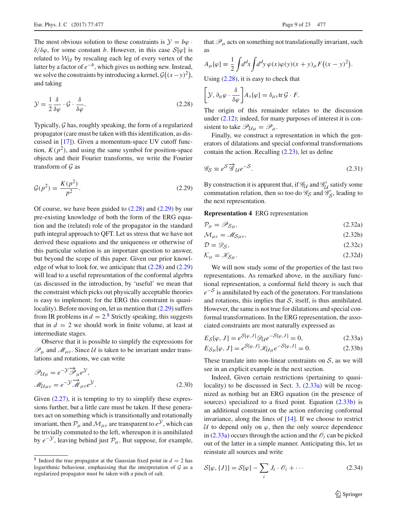The most obvious solution to these constraints is  $\mathcal{Y} = b\varphi$ . δ/δϕ, for some constant *b*. However, in this case *S*[ϕ] is related to  $W_U$  by rescaling each leg of every vertex of the latter by a factor of *e*−*b*, which gives us nothing new. Instead, we solve the constraints by introducing a kernel,  $\mathcal{G}((x-y)^2)$ , and taking

<span id="page-8-0"></span>
$$
\mathcal{Y} = \frac{1}{2} \frac{\delta}{\delta \varphi} \cdot \mathcal{G} \cdot \frac{\delta}{\delta \varphi}.
$$
\n(2.28)

Typically, *G* has, roughly speaking, the form of a regularized propagator (care must be taken with this identification, as discussed in [\[17](#page-21-11)]). Given a momentum-space UV cutoff function,  $K(p^2)$ , and using the same symbol for position-space objects and their Fourier transforms, we write the Fourier transform of *G* as

<span id="page-8-1"></span>
$$
\mathcal{G}(p^2) = \frac{K(p^2)}{p^2}.
$$
\n(2.29)

Of course, we have been guided to  $(2.28)$  and  $(2.29)$  by our pre-existing knowledge of both the form of the ERG equation and the (related) role of the propagator in the standard path integral approach to QFT. Let us stress that we have not derived these equations and the uniqueness or otherwise of this particular solution is an important question to answer, but beyond the scope of this paper. Given our prior knowledge of what to look for, we anticipate that [\(2.28\)](#page-8-0) and [\(2.29\)](#page-8-1) will lead to a useful representation of the conformal algebra (as discussed in the introduction, by 'useful' we mean that the constraint which picks out physically acceptable theories is easy to implement; for the ERG this constraint is quasilocality). Before moving on, let us mention that [\(2.29\)](#page-8-1) suffers from IR problems in  $d = 2$ <sup>[8](#page-8-2)</sup> Strictly speaking, this suggests that in  $d = 2$  we should work in finite volume, at least at intermediate stages.

Observe that it is possible to simplify the expressions for  $\mathcal{P}_{\mu}$  and  $\mathcal{M}_{\mu\nu}$ . Since U is taken to be invariant under translations and rotations, we can write

<span id="page-8-4"></span>
$$
\mathcal{P}_{\mathcal{U}\mu} = e^{-\mathcal{Y}} \overline{\mathcal{P}}_{\mu} e^{\mathcal{Y}},
$$
  

$$
\mathcal{M}_{\mathcal{U}\mu\nu} = e^{-\mathcal{Y}} \overline{\mathcal{M}}_{\mu\nu} e^{\mathcal{Y}}.
$$
 (2.30)

Given  $(2.27)$ , it is tempting to try to simplify these expressions further, but a little care must be taken. If these generators act on something which is transitionally and rotationally invariant, then  $\mathcal{P}_{\mu}$  and  $\mathcal{M}_{\mu\nu}$  are transparent to  $e^{\mathcal{Y}}$ , which can be trivially commuted to the left, whereupon it is annihilated by  $e^{-y}$ , leaving behind just  $\mathcal{P}_{\mu}$ . But suppose, for example,

that  $\mathcal{P}_{\mu}$  acts on something not translationally invariant, such as

$$
A_{\mu}[\varphi] \equiv \frac{1}{2} \int d^d x \int d^d y \, \varphi(x) \varphi(y) (x+y)_{\mu} F((x-y)^2).
$$

Using [\(2.28\)](#page-8-0), it is easy to check that

$$
\left[\mathcal{Y},\partial_{\mu}\varphi\cdot\frac{\delta}{\delta\varphi}\right]A_{\nu}[\varphi]=\delta_{\mu\nu}\text{tr}\,\mathcal{G}\cdot F.
$$

The origin of this remainder relates to the discussion under  $(2.12)$ ; indeed, for many purposes of interest it is consistent to take  $\mathscr{P}_{\mathcal{U}\mu} = \mathscr{P}_{\mu}$ .

Finally, we construct a representation in which the generators of dilatations and special conformal transformations contain the action. Recalling [\(2.23\)](#page-7-3), let us define

<span id="page-8-6"></span>
$$
\mathcal{G}_{\mathcal{S}} \equiv e^{\mathcal{S}} \overline{\mathcal{G}}_{\mathcal{U}} e^{-\mathcal{S}}.
$$
\n(2.31)

By construction it is apparent that, if  $\mathcal{G}_U$  and  $\mathcal{G}'_U$  satisfy some commutation relation, then so too do  $\mathcal{G}_S$  and  $\mathcal{G}'_S$ , leading to the next representation.

#### **Representation 4** ERG representation

<span id="page-8-5"></span>
$$
\mathcal{P}_{\mu} = \mathcal{P}_{\mathcal{S}\mu},\tag{2.32a}
$$

$$
\mathcal{M}_{\mu\nu} = \mathcal{M}_{\mathcal{S}\mu\nu},\tag{2.32b}
$$

$$
\mathcal{D} = \mathcal{D}_{\mathcal{S}},\tag{2.32c}
$$

$$
\mathcal{K}_{\mu} = \mathcal{K}_{S\mu}.\tag{2.32d}
$$

We will now study some of the properties of the last two representations. As remarked above, in the auxiliary functional representation, a conformal field theory is such that  $e^{-S}$  is annihilated by each of the generators. For translations and rotations, this implies that  $S$ , itself, is thus annihilated. However, the same is not true for dilatations and special conformal transformations. In the ERG representation, the associated constraints are most naturally expressed as

<span id="page-8-3"></span>
$$
E_{\mathcal{S}}[\varphi, J] = e^{\mathcal{S}[\varphi, J]} \mathcal{D}_{\mathcal{U}} e^{-\mathcal{S}[\varphi, J]} = 0, \tag{2.33a}
$$

$$
E_{\mathcal{S}\mu}[\varphi, J] = e^{\mathcal{S}[\varphi, J]} \mathcal{K}_{\mathcal{U}\mu} e^{-\mathcal{S}[\varphi, J]} = 0.
$$
 (2.33b)

These translate into non-linear constraints on  $S$ , as we will see in an explicit example in the next section.

Indeed, Given certain restrictions (pertaining to quasilocality) to be discussed in Sect. [3,](#page-9-0) [\(2.33a\)](#page-8-3) will be recognized as nothing but an ERG equation (in the presence of sources) specialized to a fixed point. Equation  $(2.33b)$  is an additional constraint on the action enforcing conformal invariance, along the lines of [\[14\]](#page-21-8). If we choose to restrict *U* to depend only on  $\varphi$ , then the only source dependence in  $(2.33a)$  occurs through the action and the  $\mathcal{O}_i$  can be picked out of the latter in a simple manner. Anticipating this, let us reinstate all sources and write

$$
S[\varphi, \{J\}] = S[\varphi] - \sum_{i} J_i \cdot \mathcal{O}_i + \cdots \qquad (2.34)
$$

<span id="page-8-2"></span><sup>&</sup>lt;sup>8</sup> Indeed the true propagator at the Gaussian fixed point in  $d = 2$  has logarithmic behaviour, emphasising that the interpretation of *G* as a regularized propagator must be taken with a pinch of salt.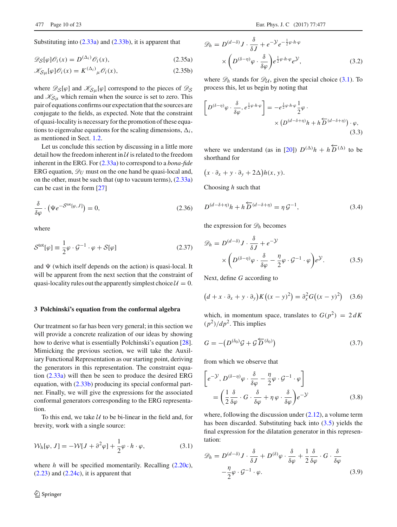Substituting into  $(2.33a)$  and  $(2.33b)$ , it is apparent that

$$
\mathscr{D}_{\mathcal{S}}[\varphi]\mathscr{O}_i(x) = D^{(\Delta_i)}\mathscr{O}_i(x),\tag{2.35a}
$$

$$
\mathcal{K}_{S\mu}[\varphi]\mathcal{O}_i(x) = K^{(\Delta_i)}{}_{\mu}\mathcal{O}_i(x),\tag{2.35b}
$$

where  $\mathscr{D}_{\mathcal{S}}[\varphi]$  and  $\mathscr{K}_{\mathcal{S}}[\varphi]$  correspond to the pieces of  $\mathscr{D}_{\mathcal{S}}$ and  $\mathcal{K}_{S\mu}$  which remain when the source is set to zero. This pair of equations confirms our expectation that the sources are conjugate to the fields, as expected. Note that the constraint of quasi-locality is necessary for the promotion of these equations to eigenvalue equations for the scaling dimensions,  $\Delta_i$ , as mentioned in Sect. [1.2.](#page-1-0)

Let us conclude this section by discussing in a little more detail how the freedom inherent in *U* is related to the freedom inherent in the ERG. For [\(2.33a\)](#page-8-3) to correspond to a *bona-fide* ERG equation,  $\mathcal{D}_U$  must on the one hand be quasi-local and, on the other, must be such that (up to vacuum terms), [\(2.33a\)](#page-8-3) can be cast in the form [\[27](#page-22-4)]

$$
\frac{\delta}{\delta \varphi} \cdot \left( \Psi e^{-\mathcal{S}^{\text{tot}}[\varphi, J]} \right) = 0, \tag{2.36}
$$

<span id="page-9-7"></span>where

$$
Stot[\varphi] \equiv \frac{1}{2}\varphi \cdot \mathcal{G}^{-1} \cdot \varphi + S[\varphi]
$$
 (2.37)

and  $\Psi$  (which itself depends on the action) is quasi-local. It will be apparent from the next section that the constraint of quasi-locality rules out the apparently simplest choice  $U = 0$ .

#### <span id="page-9-0"></span>**3 Polchinski's equation from the conformal algebra**

Our treatment so far has been very general; in this section we will provide a concrete realization of our ideas by showing how to derive what is essentially Polchinski's equation [\[28](#page-22-5)]. Mimicking the previous section, we will take the Auxiliary Functional Representation as our starting point, deriving the generators in this representation. The constraint equation [\(2.33a\)](#page-8-3) will then be seen to produce the desired ERG equation, with [\(2.33b\)](#page-8-3) producing its special conformal partner. Finally, we will give the expressions for the associated conformal generators corresponding to the ERG representation.

To this end, we take *U* to be bi-linear in the field and, for brevity, work with a single source:

$$
\mathcal{W}_h[\varphi, J] = -\mathcal{W}[J + \partial^2 \varphi] + \frac{1}{2}\varphi \cdot h \cdot \varphi, \tag{3.1}
$$

where *h* will be specified momentarily. Recalling [\(2.20c\)](#page-6-1),  $(2.23)$  and  $(2.24c)$ , it is apparent that

$$
\mathcal{D}_h = D^{(d-\delta)} J \cdot \frac{\delta}{\delta J} + e^{-\mathcal{Y}} e^{-\frac{1}{2}\varphi \cdot h \cdot \varphi} \times \left( D^{(\delta-\eta)} \varphi \cdot \frac{\delta}{\delta \varphi} \right) e^{\frac{1}{2}\varphi \cdot h \cdot \varphi} e^{\mathcal{Y}}, \tag{3.2}
$$

where  $\mathscr{D}_h$  stands for  $\mathscr{D}_U$ , given the special choice [\(3.1\)](#page-9-1). To process this, let us begin by noting that

$$
\[D^{(\delta-\eta)}\varphi \cdot \frac{\delta}{\delta \varphi}, e^{\frac{1}{2}\varphi \cdot h \cdot \varphi}\] = -e^{\frac{1}{2}\varphi \cdot h \cdot \varphi} \frac{1}{2}\varphi \cdot \times (D^{(d-\delta+\eta)}h + h\overleftarrow{D}^{(d-\delta+\eta)}) \cdot \varphi,
$$
\n(3.3)

where we understand (as in [\[20\]](#page-21-14))  $D^{(\Delta)}h + h\overline{D}^{(\Delta)}$  to be shorthand for

$$
(x \cdot \partial_x + y \cdot \partial_y + 2\Delta)h(x, y).
$$

<span id="page-9-4"></span>Choosing *h* such that

$$
D^{(d-\delta+\eta)}h + h\overleftarrow{D}^{(d-\delta+\eta)} = \eta \mathcal{G}^{-1},\tag{3.4}
$$

the expression for  $\mathcal{D}_h$  becomes

<span id="page-9-2"></span>
$$
\mathcal{D}_h = D^{(d-\delta)} J \cdot \frac{\delta}{\delta J} + e^{-\mathcal{Y}} \times \left( D^{(\delta-\eta)} \varphi \cdot \frac{\delta}{\delta \varphi} - \frac{\eta}{2} \varphi \cdot \mathcal{G}^{-1} \cdot \varphi \right) e^{\mathcal{Y}}.
$$
 (3.5)

<span id="page-9-5"></span>Next, define *G* according to

$$
(d + x \cdot \partial_x + y \cdot \partial_y)K((x - y)^2) = \partial_x^2 G((x - y)^2)
$$
 (3.6)

<span id="page-9-3"></span>which, in momentum space, translates to  $G(p^2) = 2 dK$  $(p^2)/dp^2$ . This implies

$$
G = -\left(D^{(\delta_0)}\mathcal{G} + \mathcal{G}\overleftarrow{D}^{(\delta_0)}\right) \tag{3.7}
$$

from which we observe that

$$
\[ e^{-\mathcal{Y}}, D^{(\delta - \eta)} \varphi \cdot \frac{\delta}{\delta \varphi} - \frac{\eta}{2} \varphi \cdot \mathcal{G}^{-1} \cdot \varphi \] \]
$$
\n
$$
= \left( \frac{1}{2} \frac{\delta}{\delta \varphi} \cdot \mathcal{G} \cdot \frac{\delta}{\delta \varphi} + \eta \varphi \cdot \frac{\delta}{\delta \varphi} \right) e^{-\mathcal{Y}} \tag{3.8}
$$

<span id="page-9-1"></span>where, following the discussion under  $(2.12)$ , a volume term has been discarded. Substituting back into [\(3.5\)](#page-9-2) yields the final expression for the dilatation generator in this representation:

<span id="page-9-6"></span>
$$
\mathcal{D}_h = D^{(d-\delta)} J \cdot \frac{\delta}{\delta J} + D^{(\delta)} \varphi \cdot \frac{\delta}{\delta \varphi} + \frac{1}{2} \frac{\delta}{\delta \varphi} \cdot G \cdot \frac{\delta}{\delta \varphi} -\frac{\eta}{2} \varphi \cdot \mathcal{G}^{-1} \cdot \varphi.
$$
 (3.9)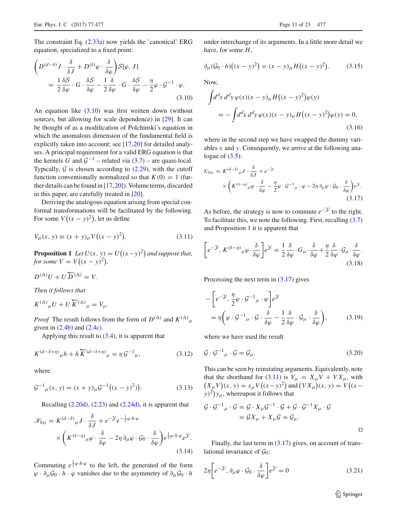The constraint Eq. [\(2.33a\)](#page-8-3) now yields the 'canonical' ERG equation, specialized to a fixed point:

<span id="page-10-0"></span>
$$
\left(D^{(d-\delta)}J \cdot \frac{\delta}{\delta J} + D^{(\delta)}\varphi \cdot \frac{\delta}{\delta \varphi}\right)S[\varphi, J]
$$
  
=  $\frac{1}{2}\frac{\delta S}{\delta \varphi} \cdot G \cdot \frac{\delta S}{\delta \varphi} - \frac{1}{2}\frac{\delta}{\delta \varphi} \cdot G \cdot \frac{\delta S}{\delta \varphi} - \frac{\eta}{2}\varphi \cdot \mathcal{G}^{-1} \cdot \varphi.$  (3.10)

An equation like  $(3.10)$  was first written down (without sources, but allowing for scale dependence) in [\[29\]](#page-22-6). It can be thought of as a modification of Polchinski's equation in which the anomalous dimension of the fundamental field is explicitly taken into account; see [\[17](#page-21-11),[20\]](#page-21-14) for detailed analyses. A principal requirement for a valid ERG equation is that the kernels *G* and  $G^{-1}$  – related via [\(3.7\)](#page-9-3) – are quasi-local. Typically,  $G$  is chosen according to  $(2.29)$ , with the cutoff function conventionally normalized so that  $K(0) = 1$  (further details can be found in [\[17](#page-21-11)[,20](#page-21-14)]). Volume terms, discarded in this paper, are carefully treated in [\[20\]](#page-21-14).

Deriving the analogous equation arising from special conformal transformations will be facilitated by the following. For some  $V((x - y)^2)$ , let us define

$$
V_{\mu}(x, y) \equiv (x + y)_{\mu} V((x - y)^{2}).
$$
\n(3.11)

<span id="page-10-1"></span>**Proposition 1** *Let*  $U(x, y) = U((x - y)^2)$  *and suppose that, for some*  $V = V((x - y)^2)$ ,

$$
D^{(\Delta)}U + U\overleftarrow{D}^{(\Delta)} = V.
$$

*Then it follows that*

$$
K^{(\Delta)}{}_{\mu}U + U \overleftarrow{K}^{(\Delta)}{}_{\mu} = V_{\mu}.
$$

*Proof* The result follows from the form of  $D^{(\Delta)}$  and  $K^{(\Delta)}_{\mu}$ given in  $(2.4b)$  and  $(2.4c)$ .

Applying this result to [\(3.4\)](#page-9-4), it is apparent that

$$
K^{(d-\delta+\eta)}{}_{\mu}h + h\overleftarrow{K}^{(d-\delta+\eta)}{}_{\mu} = \eta \mathcal{G}^{-1}{}_{\mu},\tag{3.12}
$$

where

$$
\mathcal{G}^{-1}{}_{\mu}(x, y) = (x + y)_{\mu}\mathcal{G}^{-1}((x - y)^2)).
$$
\n(3.13)

Recalling [\(2.20d\)](#page-6-1), [\(2.23\)](#page-7-3) and [\(2.24d\)](#page-7-6), it is apparent that

$$
\mathcal{K}_{h\mu} = K^{(d-\delta)}_{\mu} J \cdot \frac{\delta}{\delta J} + e^{-\mathcal{Y}} e^{-\frac{1}{2}\varphi \cdot h \cdot \varphi} \times \left( K^{(\delta-\eta)}_{\mu} \varphi \cdot \frac{\delta}{\delta \varphi} - 2\eta \partial_{\mu} \varphi \cdot \mathcal{G}_{0} \cdot \frac{\delta}{\delta \varphi} \right) e^{\frac{1}{2}\varphi \cdot h \cdot \varphi} e^{\mathcal{Y}}.
$$
\n(3.14)

Commuting  $e^{\frac{1}{2}\varphi \cdot h \cdot \varphi}$  to the left, the generated of the form  $\varphi \cdot \partial_{\mu} \mathcal{G}_0 \cdot h \cdot \varphi$  vanishes due to the asymmetry of  $\partial_{\mu} \mathcal{G}_0 \cdot h$ 

under interchange of its arguments. In a little more detail we have, for some *H*,

$$
\partial_{\mu}(\mathcal{G}_0 \cdot h) \big( (x - y)^2 \big) = (x - y)_{\mu} H \big( (x - y)^2 \big). \tag{3.15}
$$

Now,

$$
\int d^d x \, d^d y \, \varphi(x)(x - y)_{\mu} H((x - y)^2) \varphi(y)
$$
  
= 
$$
- \int d^d x \, d^d y \, \varphi(x)(x - y)_{\mu} H((x - y)^2) \varphi(y) = 0,
$$
 (3.16)

where in the second step we have swapped the dummy variables *x* and *y*. Consequently, we arrive at the following analogue of  $(3.5)$ :

<span id="page-10-2"></span>
$$
\mathcal{K}_{h\mu} = K^{(d-\delta)}_{\mu} J \cdot \frac{\delta}{\delta J} + e^{-\mathcal{Y}} \times \left( K^{(\delta-\eta)}_{\mu} \varphi \cdot \frac{\delta}{\delta \varphi} - \frac{\eta}{2} \varphi \cdot \mathcal{G}^{-1}_{\mu} \cdot \varphi - 2\eta \partial_{\mu} \varphi \cdot \mathcal{G}_{0} \cdot \frac{\delta}{\delta \varphi} \right) e^{\mathcal{Y}}.
$$
\n(3.17)

<span id="page-10-3"></span>As before, the strategy is now to commute  $e^{-y}$  to the right. To facilitate this, we note the following. First, recalling [\(3.7\)](#page-9-3) and Proposition [1](#page-10-1) it is apparent that

$$
\left[e^{-\mathcal{Y}}, K^{(\delta-\eta)}{}_{\mu}\varphi \cdot \frac{\delta}{\delta\varphi}\right]e^{\mathcal{Y}} = \frac{1}{2}\frac{\delta}{\delta\varphi} \cdot G_{\mu} \cdot \frac{\delta}{\delta\varphi} + \frac{\eta}{2}\frac{\delta}{\delta\varphi} \cdot \mathcal{G}_{\mu} \cdot \frac{\delta}{\delta\varphi}.
$$
\n(3.18)

Processing the next term in  $(3.17)$  gives

$$
- \left[ e^{-\mathcal{Y}}, \frac{\eta}{2} \varphi \cdot \mathcal{G}^{-1}{}_{\mu} \cdot \varphi \right] e^{\mathcal{Y}}
$$
  
=  $\eta \left( \varphi \cdot \mathcal{G}^{-1}{}_{\mu} \cdot \mathcal{G} \cdot \frac{\delta}{\delta \varphi} - \frac{1}{2} \frac{\delta}{\delta \varphi} \cdot \mathcal{G}_{\mu} \cdot \frac{\delta}{\delta \varphi} \right),$  (3.19)

where we have used the result

$$
\mathcal{G} \cdot \mathcal{G}^{-1}{}_{\mu} \cdot \mathcal{G} = \mathcal{G}_{\mu}.
$$
\n(3.20)

This can be seen by reinstating arguments. Equivalently, note that the shorthand for [\(3.11\)](#page-10-3) is  $V_{\mu} = X_{\mu}V + V X_{\mu}$ , with  $(X_{\mu}V)(x, y) = x_{\mu}V((x - y)^2)$  and  $(VX_{\mu})(x, y) = V((x - y)^2)$  $(y)^2$ ) $y_\mu$ , whereupon it follows that

$$
\mathcal{G} \cdot \mathcal{G}^{-1}{}_{\mu} \cdot \mathcal{G} = \mathcal{G} \cdot X_{\mu} \mathcal{G}^{-1} \cdot \mathcal{G} + \mathcal{G} \cdot \mathcal{G}^{-1} X_{\mu} \cdot \mathcal{G}
$$

$$
= \mathcal{G} X_{\mu} + X_{\mu} \mathcal{G} = \mathcal{G}_{\mu}.
$$

Finally, the last term in  $(3.17)$  gives, on account of translational invariance of  $\mathcal{G}_0$ :

$$
2\eta \left[ e^{-\mathcal{Y}}, \partial_{\mu} \varphi \cdot \mathcal{G}_0 \cdot \frac{\delta}{\delta \varphi} \right] e^{\mathcal{Y}} = 0 \tag{3.21}
$$

<sup>2</sup> Springer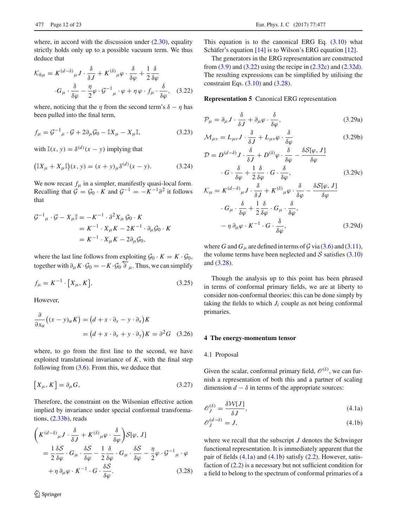where, in accord with the discussion under  $(2.30)$ , equality strictly holds only up to a possible vacuum term. We thus deduce that

<span id="page-11-2"></span>
$$
\mathcal{K}_{h\mu} = K^{(d-\delta)}_{\mu} J \cdot \frac{\delta}{\delta J} + K^{(\delta)}_{\mu} \varphi \cdot \frac{\delta}{\delta \varphi} + \frac{1}{2} \frac{\delta}{\delta \varphi}
$$

$$
\cdot G_{\mu} \cdot \frac{\delta}{\delta \varphi} - \frac{\eta}{2} \varphi \cdot \mathcal{G}^{-1}_{\mu} \cdot \varphi + \eta \varphi \cdot f_{\mu} \cdot \frac{\delta}{\delta \varphi}, \quad (3.22)
$$

where, noticing that the  $\eta$  from the second term's  $\delta - \eta$  has been pulled into the final term,

$$
f_{\mu} = \mathcal{G}^{-1}_{\mu} \cdot \mathcal{G} + 2\partial_{\mu}\mathcal{G}_0 - \mathbb{I}X_{\mu} - X_{\mu}\mathbb{I},\tag{3.23}
$$

with  $\mathbb{I}(x, y) = \delta^{(d)}(x - y)$  implying that

$$
(\mathbb{I}X_{\mu} + X_{\mu}\mathbb{I})(x, y) = (x + y)_{\mu}\delta^{(d)}(x - y).
$$
 (3.24)

We now recast  $f_{\mu}$  in a simpler, manifestly quasi-local form. Recalling that  $G = G_0 \cdot K$  and  $G^{-1} = -K^{-1}\partial^2$  it follows that

$$
G^{-1}{}_{\mu} \cdot G - X_{\mu} \mathbb{I} = -K^{-1} \cdot \partial^2 X_{\mu} \mathcal{G}_0 \cdot K
$$
  
=  $K^{-1} \cdot X_{\mu} K - 2K^{-1} \cdot \partial_{\mu} \mathcal{G}_0 \cdot K$   
=  $K^{-1} \cdot X_{\mu} K - 2\partial_{\mu} \mathcal{G}_0$ ,

where the last line follows from exploiting  $\mathcal{G}_0 \cdot K = K \cdot \mathcal{G}_0$ , together with  $\partial_{\mu} K \cdot \mathcal{G}_0 = -K \cdot \mathcal{G}_0 \overleftarrow{\partial}_{\mu}$ . Thus, we can simplify

$$
f_{\mu} = K^{-1} \cdot [X_{\mu}, K]. \tag{3.25}
$$

However,

$$
\frac{\partial}{\partial x_{\alpha}}((x - y)_{\alpha} K) = (d + x \cdot \partial_{x} - y \cdot \partial_{x})K
$$

$$
= (d + x \cdot \partial_{x} + y \cdot \partial_{y})K = \partial^{2} G \quad (3.26)
$$

where, to go from the first line to the second, we have exploited translational invariance of  $K$ , with the final step following from  $(3.6)$ . From this, we deduce that

$$
[X_{\mu}, K] = \partial_{\mu} G, \qquad (3.27)
$$

Therefore, the constraint on the Wilsonian effective action implied by invariance under special conformal transformations, [\(2.33b\)](#page-8-3), reads

<span id="page-11-3"></span>
$$
\left(K^{(d-\delta)}_{\mu}J \cdot \frac{\delta}{\delta J} + K^{(\delta)}_{\mu}\varphi \cdot \frac{\delta}{\delta\varphi}\right)S[\varphi, J]
$$
  
=  $\frac{1}{2}\frac{\delta S}{\delta\varphi} \cdot G_{\mu} \cdot \frac{\delta S}{\delta\varphi} - \frac{1}{2}\frac{\delta}{\delta\varphi} \cdot G_{\mu} \cdot \frac{\delta S}{\delta\varphi} - \frac{\eta}{2}\varphi \cdot \varphi^{-1}_{\mu} \cdot \varphi$   
+  $\eta \partial_{\mu}\varphi \cdot K^{-1} \cdot G \cdot \frac{\delta S}{\delta\varphi}.$  (3.28)

This equation is to the canonical ERG Eq.  $(3.10)$  what Schäfer's equation [\[14\]](#page-21-8) is to Wilson's ERG equation [\[12](#page-21-6)].

The generators in the ERG representation are constructed from  $(3.9)$  and  $(3.22)$  using the recipe in  $(2.32c)$  and  $(2.32d)$ . The resulting expressions can be simplified by utilising the constraint Eqs.  $(3.10)$  and  $(3.28)$ .

#### **Representation 5** Canonical ERG representation

$$
\mathcal{P}_{\mu} = \partial_{\mu} J \cdot \frac{\delta}{\delta J} + \partial_{\mu} \varphi \cdot \frac{\delta}{\delta \varphi}, \qquad (3.29a)
$$

$$
\mathcal{M}_{\mu\nu} = L_{\mu\nu} J \cdot \frac{\delta}{\delta J} + L_{\mu\nu} \varphi \cdot \frac{\delta}{\delta \varphi}
$$
 (3.29b)

$$
\mathcal{D} = D^{(d-\delta)} J \cdot \frac{\delta}{\delta J} + D^{(\delta)} \varphi \cdot \frac{\delta}{\delta \varphi} - \frac{\delta S[\varphi, J]}{\delta \varphi} \cdot G \cdot \frac{\delta}{\delta \varphi} + \frac{1}{2} \frac{\delta}{\delta \varphi} \cdot G \cdot \frac{\delta}{\delta \varphi},
$$
\n(3.29c)

<span id="page-11-6"></span>
$$
\mathcal{K}_{\mu} = K^{(d-\delta)}{}_{\mu} J \cdot \frac{\delta}{\delta J} + K^{(\delta)}{}_{\mu} \varphi \cdot \frac{\delta}{\delta \varphi} - \frac{\delta S[\varphi, J]}{\delta \varphi} \cdot G_{\mu} \cdot \frac{\delta}{\delta \varphi} + \frac{1}{2} \frac{\delta}{\delta \varphi} \cdot G_{\mu} \cdot \frac{\delta}{\delta \varphi}, \n- \eta \partial_{\mu} \varphi \cdot K^{-1} \cdot G \cdot \frac{\delta}{\delta \varphi}, \qquad (3.29d)
$$

<span id="page-11-7"></span>where *G* and  $G_\mu$  are defined in terms of  $\mathcal G$  via [\(3.6\)](#page-9-5) and [\(3.11\)](#page-10-3), the volume terms have been neglected and  $S$  satisfies  $(3.10)$ and [\(3.28\)](#page-11-3).

Though the analysis up to this point has been phrased in terms of conformal primary fields, we are at liberty to consider non-conformal theories: this can be done simply by taking the fields to which  $J_i$  couple as not being conformal primaries.

#### <span id="page-11-0"></span>**4 The energy-momentum tensor**

#### <span id="page-11-1"></span>4.1 Proposal

Given the scalar, conformal primary field,  $\mathcal{O}^{(\delta)}$ , we can furnish a representation of both this and a partner of scaling dimension  $d - \delta$  in terms of the appropriate sources:

<span id="page-11-4"></span>
$$
\mathcal{O}_J^{(\delta)} = \frac{\delta \mathcal{W}[J]}{\delta J},\tag{4.1a}
$$

<span id="page-11-5"></span>
$$
\mathcal{O}_J^{(d-\delta)} = J,\tag{4.1b}
$$

where we recall that the subscript *J* denotes the Schwinger functional representation. It is immediately apparent that the pair of fields  $(4.1a)$  and  $(4.1b)$  satisfy  $(2.2)$ . However, satisfaction of [\(2.2\)](#page-4-4) is a necessary but not sufficient condition for a field to belong to the spectrum of conformal primaries of a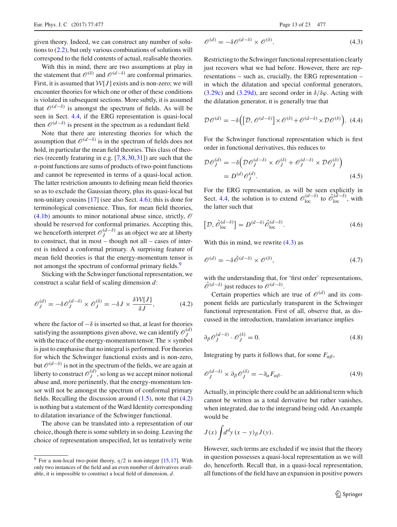given theory. Indeed, we can construct any number of solutions to [\(2.2\)](#page-4-4), but only various combinations of solutions will correspond to the field contents of actual, realisable theories.

With this in mind, there are two assumptions at play in the statement that  $\mathcal{O}^{(\delta)}$  and  $\mathcal{O}^{(d-\delta)}$  are conformal primaries. First, it is assumed that  $W[J]$  exists and is non-zero; we will encounter theories for which one or other of these conditions is violated in subsequent sections. More subtly, it is assumed that  $\mathcal{O}^{(d-\delta)}$  is amongst the spectrum of fields. As will be seen in Sect. [4.4,](#page-16-1) if the ERG representation is quasi-local then  $\mathcal{O}^{(d-\delta)}$  is present in the spectrum as a redundant field.

Note that there are interesting theories for which the assumption that  $\mathcal{O}^{(d-\delta)}$  is in the spectrum of fields does not hold, in particular the mean field theories. This class of theories (recently featuring in e.g. [\[7](#page-21-17)[,8](#page-21-18),[30](#page-22-7),[31\]](#page-22-8)) are such that the *n*-point functions are sums of products of two-point functions and cannot be represented in terms of a quasi-local action. The latter restriction amounts to defining mean field theories so as to exclude the Gaussian theory, plus its quasi-local but non-unitary cousins [\[17](#page-21-11)] (see also Sect. [4.6\)](#page-19-0); this is done for terminological convenience. Thus, for mean field theories, [\(4.1b\)](#page-11-5) amounts to minor notational abuse since, strictly, *O* should be reserved for conformal primaries. Accepting this, we henceforth interpret  $\mathcal{O}_J^{(d-\delta)}$  as an object we are at liberty to construct, that in most – though not all – cases of interest is indeed a conformal primary. A surprising feature of mean field theories is that the energy-momentum tensor is not amongst the spectrum of conformal primary fields.<sup>[9](#page-12-0)</sup>

Sticking with the Schwinger functional representation, we construct a scalar field of scaling dimension *d*:

$$
\mathcal{O}_J^{(d)} = -\delta \mathcal{O}_J^{(d-\delta)} \times \mathcal{O}_J^{(\delta)} = -\delta J \times \frac{\delta \mathcal{W}[J]}{\delta J},\tag{4.2}
$$

where the factor of  $-\delta$  is inserted so that, at least for theories satisfying the assumptions given above, we can identify  $\mathcal{O}_J^{(d)}$ with the trace of the energy-momentum tensor. The  $\times$  symbol is just to emphasise that no integral is performed. For theories for which the Schwinger functional exists and is non-zero, but *O*(*d*−δ) is not in the spectrum of the fields, we are again at liberty to construct  $\mathcal{O}_J^{(d)}$ , so long as we accept minor notional abuse and, more pertinently, that the energy-momentum tensor will not be amongst the spectrum of conformal primary fields. Recalling the discussion around  $(1.5)$ , note that  $(4.2)$ is nothing but a statement of the Ward Identity corresponding to dilatation invariance of the Schwinger functional.

The above can be translated into a representation of our choice, though there is some subtlety in so doing. Leaving the choice of representation unspecified, let us tentatively write

$$
\mathcal{O}^{(d)} = -\delta \mathcal{O}^{(d-\delta)} \times \mathcal{O}^{(\delta)}.
$$
\n(4.3)

Restricting to the Schwinger functional representation clearly just recovers what we had before. However, there are representations – such as, crucially, the ERG representation – in which the dilatation and special conformal generators, [\(3.29c\)](#page-11-6) and [\(3.29d\)](#page-11-7), are second order in  $\delta/\delta\varphi$ . Acting with the dilatation generator, it is generally true that

$$
\mathcal{D}\mathcal{O}^{(d)} = -\delta \Big( \big[ \mathcal{D}, \mathcal{O}^{(d-\delta)} \big] \times \mathcal{O}^{(\delta)} + \mathcal{O}^{(d-\delta)} \times \mathcal{D}\mathcal{O}^{(\delta)} \Big). \tag{4.4}
$$

For the Schwinger functional representation which is first order in functional derivatives, this reduces to

$$
\mathcal{D}\mathcal{O}_{J}^{(d)} = -\delta \left( \mathcal{D}\mathcal{O}_{J}^{(d-\delta)} \times \mathcal{O}_{J}^{(\delta)} + \mathcal{O}_{J}^{(d-\delta)} \times \mathcal{D}\mathcal{O}_{J}^{(\delta)} \right)
$$

$$
= D^{(d)} \mathcal{O}_{J}^{(d)}.
$$
(4.5)

For the ERG representation, as will be seen explicitly in Sect. [4.4,](#page-16-1) the solution is to extend  $\mathcal{O}^{(d- \delta)}_{\text{loc}}$  to  $\hat{\mathcal{O}}^{(\hat{d}-\delta)}_{\text{loc}}$ , with the latter such that

$$
\left[\mathcal{D}, \hat{\mathcal{O}}_{\text{loc}}^{(d-\delta)}\right] = D^{(d-\delta)} \hat{\mathcal{O}}_{\text{loc}}^{(d-\delta)}.
$$
\n(4.6)

<span id="page-12-5"></span>With this in mind, we rewrite  $(4.3)$  as

$$
\mathscr{O}^{(d)} = -\delta \hat{\mathscr{O}}^{(d-\delta)} \times \mathscr{O}^{(\delta)},\tag{4.7}
$$

<span id="page-12-1"></span>with the understanding that, for 'first order' representations,  $\hat{\mathcal{O}}^{(d-\delta)}$  just reduces to  $\mathcal{O}^{(d-\delta)}$ .

Certain properties which are true of  $\mathcal{O}^{(d)}$  and its component fields are particularly transparent in the Schwinger functional representation. First of all, observe that, as discussed in the introduction, translation invariance implies

<span id="page-12-3"></span>
$$
\partial_{\beta} \mathcal{O}_J^{(d-\delta)} \cdot \mathcal{O}_J^{(\delta)} = 0. \tag{4.8}
$$

<span id="page-12-4"></span>Integrating by parts it follows that, for some  $F_{\alpha\beta}$ ,

$$
\mathcal{O}_J^{(d-\delta)} \times \partial_{\beta} \mathcal{O}_J^{(\delta)} = -\partial_{\alpha} F_{\alpha\beta}.
$$
 (4.9)

Actually, in principle there could be an additional term which cannot be written as a total derivative but rather vanishes, when integrated, due to the integrand being odd. An example would be

$$
J(x)\int d^d y\,(x-y)_{\beta}J(y).
$$

<span id="page-12-2"></span>However, such terms are excluded if we insist that the theory in question possesses a quasi-local representation as we will do, henceforth. Recall that, in a quasi-local representation, all functions of the field have an expansion in positive powers

<span id="page-12-0"></span><sup>&</sup>lt;sup>9</sup> For a non-local two-point theory,  $\eta/2$  is non-integer [\[15](#page-21-9)[,17\]](#page-21-11). With only two instances of the field and an even number of derivatives available, it is impossible to construct a local field of dimension, *d*.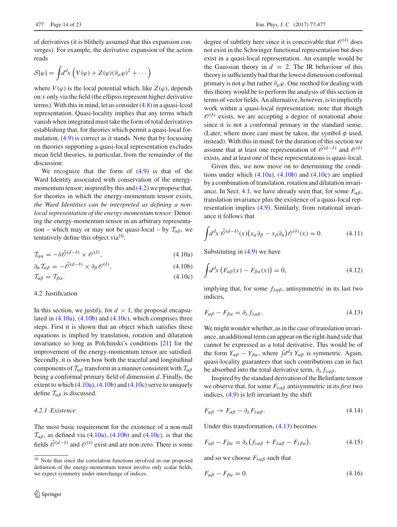of derivatives (it is blithely assumed that this expansion converges). For example, the derivative expansion of the action reads

$$
S[\varphi] = \int d^d x \left( V(\varphi) + Z(\varphi)(\partial_\mu \varphi)^2 + \cdots \right)
$$

where  $V(\varphi)$  is the local potential which, like  $Z(\varphi)$ , depends on *x* only via the field (the ellipsis represent higher derivative terms). With this in mind, let us consider [\(4.8\)](#page-12-3) in a quasi-lcoal representation. Quasi-locality implies that any terms which vanish when integrated must take the form of total derivatives establishing that, for theories which permit a quasi-local formulation, [\(4.9\)](#page-12-4) is correct as it stands. Note that by focussing on theories supporting a quasi-local representation excludes mean field theories, in particular, from the remainder of the discussion.

We recognize that the form of  $(4.9)$  is that of the Ward Identity associated with conservation of the energymomentum tensor; inspired by this and  $(4.2)$  we propose that, for theories in which the energy-momentum tensor exists, *the Ward Identities can be interpreted as defining a nonlocal representation of the energy-momentum tensor*. Denoting the energy-momentum tensor in an arbitrary representation – which may or may not be quasi-local – by  $\mathcal{T}_{\alpha\beta}$ , we tentatively define this object via $10$ :

$$
\mathcal{T}_{\alpha\alpha} = -\delta \hat{\mathcal{O}}^{(d-\delta)} \times \mathcal{O}^{(\delta)},\tag{4.10a}
$$

$$
\partial_{\alpha} \mathcal{T}_{\alpha\beta} = -\hat{\mathcal{O}}^{(d-\delta)} \times \partial_{\beta} \mathcal{O}^{(\delta)},\tag{4.10b}
$$

$$
\mathcal{T}_{\alpha\beta} = \mathcal{T}_{\beta\alpha}.\tag{4.10c}
$$

# <span id="page-13-0"></span>4.2 Justification

In this section, we justify, for  $d > 1$ , the proposal encapsulated in  $(4.10a)$ ,  $(4.10b)$  and  $(4.10c)$ , which comprises three steps. First it is shown that an object which satisfies these equations is implied by translation, rotation and dilatation invariance so long as Polchinski's conditions [\[21](#page-21-15)] for the improvement of the energy-momentum tensor are satisfied. Secondly, it is shown how both the traceful and longitudinal components of  $T_{\alpha\beta}$  transform in a manner consistent with  $T_{\alpha\beta}$ being a conformal primary field of dimension *d*. Finally, the extent to which  $(4.10a)$ ,  $(4.10b)$  and  $(4.10c)$  serve to uniquely define  $\mathcal{T}_{\alpha\beta}$  is discussed.

# <span id="page-13-1"></span>*4.2.1 Existence*

The most basic requirement for the existence of a non-null  $\mathcal{T}_{\alpha\beta}$ , as defined via [\(4.10a\)](#page-13-3), [\(4.10b\)](#page-13-4) and [\(4.10c\)](#page-13-5), is that the fields  $\hat{\mathcal{O}}^{(d-\delta)}$  and  $\mathcal{O}^{(\delta)}$  exist and are non-zero. There is some degree of subtlety here since it is conceivable that  $\mathcal{O}^{(\delta)}$  does not exist in the Schwinger functional representation but does exist in a quasi-local representation. An example would be the Gaussian theory in  $d = 2$ . The IR behaviour of this theory is sufficiently bad that the lowest dimension conformal primary is not  $\varphi$  but rather  $\partial_{\mu}\varphi$ . One method for dealing with this theory would be to perform the analysis of this section in terms of vector fields. An alternative, however, is to implicitly work within a quasi-local representation; note that though  $\mathscr{O}^{(\delta)}$  exists, we are accepting a degree of notational abuse since it is not a conformal primary in the standard sense. (Later, where more care must be taken, the symbol  $\phi$  used, instead). With this in mind, for the duration of this section we assume that at least one representation of  $\hat{\mathcal{O}}^{(d-\delta)}$  and  $\mathcal{O}^{(\delta)}$ exists, and at least one of these representations is quasi-local.

Given this, we now move on to determining the conditions under which  $(4.10a)$ ,  $(4.10b)$  and  $(4.10c)$  are implied by a combination of translation, rotation and dilatation invari-ance. In Sect. [4.1,](#page-11-1) we have already seen that, for some  $F_{\alpha\beta}$ , translation invariance plus the existence of a quasi-local representation implies [\(4.9\)](#page-12-4). Similarly, from rotational invariance it follows that

$$
\int d^d x \,\hat{\mathcal{O}}^{(d-\delta)}(x) \big(x_\alpha \partial_\beta - x_\beta \partial_\alpha\big) \mathcal{O}^{(\delta)}(x) = 0. \tag{4.11}
$$

<span id="page-13-3"></span>Substituting in  $(4.9)$  we have

<span id="page-13-5"></span><span id="page-13-4"></span>
$$
\int d^d x \left( F_{\alpha\beta}(x) - F_{\beta\alpha}(x) \right) = 0, \tag{4.12}
$$

<span id="page-13-6"></span>implying that, for some  $f_{\lambda\alpha\beta}$ , antisymmetric in its last two indices,

$$
F_{\alpha\beta} - F_{\beta\alpha} = \partial_{\lambda} f_{\lambda\alpha\beta}.
$$
\n(4.13)

We might wonder whether, as in the case of translation invariance, an additional term can appear on the right-hand side that cannot be expressed as a total derivative. This would be of the form  $Y_{\alpha\beta} - Y_{\beta\alpha}$ , where  $\int d^dx Y_{\alpha\beta}$  is symmetric. Again, quasi-locality guarantees that such contributions can in fact be absorbed into the total derivative term,  $\partial_{\lambda} f_{\lambda \alpha \beta}$ .

Inspired by the standard derivation of the Belinfante tensor we observe that, for some  $F_{\lambda\alpha\beta}$  antisymmetric in its *first* two indices, [\(4.9\)](#page-12-4) is left invariant by the shift

$$
F_{\alpha\beta} \to F_{\alpha\beta} - \partial_{\lambda} F_{\lambda\alpha\beta}.
$$
\n(4.14)

Under this transformation, [\(4.13\)](#page-13-6) becomes

$$
F_{\alpha\beta} - F_{\beta\alpha} = \partial_{\lambda} \big( f_{\lambda\alpha\beta} + F_{\lambda\alpha\beta} - F_{\lambda\beta\alpha} \big), \tag{4.15}
$$

<span id="page-13-7"></span>and so we choose  $F_{\lambda\alpha\beta}$  such that

$$
F_{\alpha\beta} - F_{\beta\alpha} = 0. \tag{4.16}
$$

<span id="page-13-2"></span><sup>&</sup>lt;sup>10</sup> Note that since the correlation functions involved in our proposed definition of the energy-momentum tensor involve only scalar fields, we expect symmetry under interchange of indices.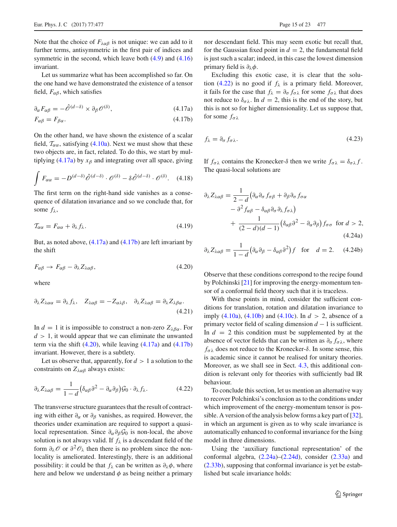Note that the choice of  $F_{\lambda\alpha\beta}$  is not unique: we can add to it further terms, antisymmetric in the first pair of indices and symmetric in the second, which leave both  $(4.9)$  and  $(4.16)$ invariant.

Let us summarize what has been accomplished so far. On the one hand we have demonstrated the existence of a tensor field,  $F_{\alpha\beta}$ , which satisfies

$$
\partial_{\alpha} F_{\alpha\beta} = -\hat{\mathcal{O}}^{(d-\delta)} \times \partial_{\beta} \mathcal{O}^{(\delta)},\tag{4.17a}
$$

$$
F_{\alpha\beta} = F_{\beta\alpha}.\tag{4.17b}
$$

On the other hand, we have shown the existence of a scalar field,  $T_{\alpha\alpha}$ , satisfying [\(4.10a\)](#page-13-3). Next we must show that these two objects are, in fact, related. To do this, we start by mul-tiplying [\(4.17a\)](#page-14-0) by  $x_\beta$  and integrating over all space, giving

$$
\int F_{\alpha\alpha} = -D^{(d-\delta)}\hat{\mathcal{O}}^{(d-\delta)} \cdot \mathcal{O}^{(\delta)} - \delta \hat{\mathcal{O}}^{(d-\delta)} \cdot \mathcal{O}^{(\delta)}.
$$
 (4.18)

<span id="page-14-4"></span>The first term on the right-hand side vanishes as a consequence of dilatation invariance and so we conclude that, for some  $f_{\lambda}$ ,

$$
\mathcal{T}_{\alpha\alpha} = F_{\alpha\alpha} + \partial_{\lambda} f_{\lambda}.\tag{4.19}
$$

<span id="page-14-2"></span>But, as noted above,  $(4.17a)$  and  $(4.17b)$  are left invariant by the shift

$$
F_{\alpha\beta} \to F_{\alpha\beta} - \partial_{\lambda} Z_{\lambda\alpha\beta},\tag{4.20}
$$

<span id="page-14-5"></span>where

$$
\partial_{\lambda} Z_{\lambda \alpha \alpha} = \partial_{\lambda} f_{\lambda}, \quad Z_{\lambda \alpha \beta} = -Z_{\alpha \lambda \beta}, \quad \partial_{\lambda} Z_{\lambda \alpha \beta} = \partial_{\lambda} Z_{\lambda \beta \alpha}.
$$
\n(4.21)

In  $d = 1$  it is impossible to construct a non-zero  $Z_{\lambda\beta\alpha}$ . For  $d > 1$ , it would appear that we can eliminate the unwanted term via the shift  $(4.20)$ , while leaving  $(4.17a)$  and  $(4.17b)$ invariant. However, there is a subtlety.

Let us observe that, apparently, for  $d > 1$  a solution to the constraints on  $Z_{\lambda\alpha\beta}$  always exists:

$$
\partial_{\lambda} Z_{\lambda \alpha \beta} = \frac{1}{1 - d} \left( \delta_{\alpha \beta} \partial^2 - \partial_{\alpha} \partial_{\beta} \right) \mathcal{G}_0 \cdot \partial_{\lambda} f_{\lambda}.
$$
 (4.22)

The transverse structure guarantees that the result of contracting with either  $\partial_{\alpha}$  or  $\partial_{\beta}$  vanishes, as required. However, the theories under examination are required to support a quasilocal representation. Since ∂α∂β*G*<sup>0</sup> is non-local, the above solution is not always valid. If  $f_{\lambda}$  is a descendant field of the form  $\partial_\lambda \mathcal{O}$  or  $\partial^2 \mathcal{O}_\lambda$  then there is no problem since the nonlocality is ameliorated. Interestingly, there is an additional possibility: it could be that  $f_\lambda$  can be written as  $\partial_\lambda \phi$ , where here and below we understand  $\phi$  as being neither a primary nor descendant field. This may seem exotic but recall that, for the Gaussian fixed point in  $d = 2$ , the fundamental field is just such a scalar; indeed, in this case the lowest dimension primary field is  $\partial_\lambda \phi$ .

<span id="page-14-0"></span>Excluding this exotic case, it is clear that the solu-tion [\(4.22\)](#page-14-3) is no good if  $f_{\lambda}$  is a primary field. Moreover, it fails for the case that  $f_{\lambda} = \partial_{\sigma} f_{\sigma \lambda}$  for some  $f_{\sigma \lambda}$  that does not reduce to  $\delta_{\sigma\lambda}$ . In  $d = 2$ , this is the end of the story, but this is not so for higher dimensionality. Let us suppose that, for some  $f_{\sigma \lambda}$ 

<span id="page-14-1"></span>
$$
f_{\lambda} = \partial_{\sigma} f_{\sigma \lambda}.
$$
\n(4.23)

If  $f_{\sigma\lambda}$  contains the Kronecker-δ then we write  $f_{\sigma\lambda} = \delta_{\sigma\lambda} f$ . The quasi-local solutions are

$$
\partial_{\lambda} Z_{\lambda \alpha \beta} = \frac{1}{2 - d} \left( \partial_{\alpha} \partial_{\sigma} f_{\sigma \beta} + \partial_{\beta} \partial_{\sigma} f_{\sigma \alpha} \right.\n- \partial^2 f_{\alpha \beta} - \delta_{\alpha \beta} \partial_{\sigma} \partial_{\lambda} f_{\sigma \lambda} \right)\n+ \frac{1}{(2 - d)(d - 1)} \left( \delta_{\alpha \beta} \partial^2 - \partial_{\alpha} \partial_{\beta} \right) f_{\sigma \sigma} \text{ for } d > 2,
$$
\n(4.24a)

<span id="page-14-6"></span>
$$
\partial_{\lambda} Z_{\lambda \alpha \beta} = \frac{1}{1 - d} \big( \partial_{\alpha} \partial_{\beta} - \delta_{\alpha \beta} \partial^{2} \big) f \quad \text{for} \quad d = 2. \tag{4.24b}
$$

Observe that these conditions correspond to the recipe found by Polchinski [\[21](#page-21-15)] for improving the energy-momentum tensor of a conformal field theory such that it is traceless.

With these points in mind, consider the sufficient conditions for translation, rotation and dilatation invariance to imply [\(4.10a\)](#page-13-3), [\(4.10b\)](#page-13-4) and [\(4.10c\)](#page-13-5). In  $d > 2$ , absence of a primary vector field of scaling dimension *d* − 1 is sufficient. In  $d = 2$  this condition must be supplemented by at the absence of vector fields that can be written as  $\partial_{\sigma} f_{\sigma \lambda}$ , where  $f_{\sigma\lambda}$  does not reduce to the Kronecker- $\delta$ . In some sense, this is academic since it cannot be realised for unitary theories. Moreover, as we shall see in Sect. [4.3,](#page-16-0) this additional condition is relevant only for theories with sufficiently bad IR behaviour.

<span id="page-14-3"></span>To conclude this section, let us mention an alternative way to recover Polchinksi's conclusion as to the conditions under which improvement of the energy-momentum tensor is possible. A version of the analysis below forms a key part of [\[32](#page-22-9)], in which an argument is given as to why scale invariance is automatically enhanced to conformal invariance for the Ising model in three dimensions.

Using the 'auxiliary functional representation' of the conformal algebra, [\(2.24a\)](#page-7-6)–[\(2.24d\)](#page-7-6), consider [\(2.33a\)](#page-8-3) and [\(2.33b\)](#page-8-3), supposing that conformal invariance is yet be established but scale invariance holds: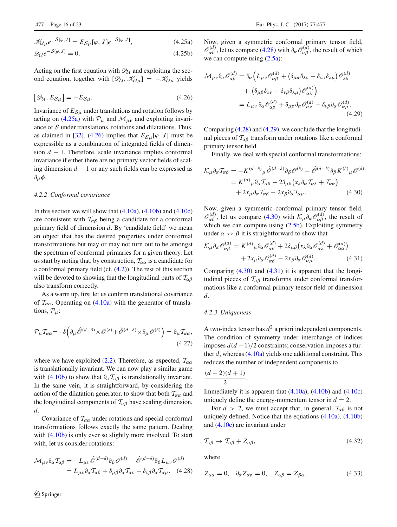$$
\mathcal{K}_{\mathcal{U}\mu}e^{-S[\varphi,J]} = E_{\mathcal{S}\mu}[\varphi,J]e^{-S[\varphi,J]},\tag{4.25a}
$$

$$
\mathscr{D}_{\mathcal{U}}e^{-S[\varphi,J]} = 0. \tag{4.25b}
$$

Acting on the first equation with  $\mathcal{D}_U$  and exploiting the second equation, together with  $[\mathcal{D}_U, \mathcal{K}_{U\mu}] = -\mathcal{K}_{U\mu}$  yields

<span id="page-15-3"></span>
$$
[\mathcal{D}_{\mathcal{U}}, E_{\mathcal{S}\mu}] = -E_{\mathcal{S}\mu}.
$$
\n(4.26)

Invariance of  $E_{\mathcal{S}\mu}$  under translations and rotation follows by acting on [\(4.25a\)](#page-15-2) with  $P_{\mu}$  and  $\mathcal{M}_{\mu\nu}$  and exploiting invariance of *S* under translations, rotations and dilatations. Thus, as claimed in [\[32](#page-22-9)], [\(4.26\)](#page-15-3) implies that  $E_{\mathcal{S}_u}[\varphi, J]$  must be expressible as a combination of integrated fields of dimension *d* − 1. Therefore, scale invariance implies conformal invariance if either there are no primary vector fields of scaling dimension *d* − 1 or any such fields can be expressed as  $∂<sub>μ</sub>φ.$ 

#### <span id="page-15-0"></span>*4.2.2 Conformal covariance*

In this section we will show that  $(4.10a)$ ,  $(4.10b)$  and  $(4.10c)$ are consistent with  $T_{\alpha\beta}$  being a candidate for a conformal primary field of dimension *d*. By 'candidate field' we mean an object that has the desired properties under conformal transformations but may or may not turn out to be amongst the spectrum of conformal primaries for a given theory. Let us start by noting that, by construction,  $\mathcal{T}_{\alpha\alpha}$  is a candidate for a conformal primary field (cf. [\(4.2\)](#page-12-1)). The rest of this section will be devoted to showing that the longitudinal parts of  $T_{\alpha\beta}$ also transform correctly.

As a warm up, first let us confirm translational covariance of  $T_{\alpha\alpha}$ . Operating on [\(4.10a\)](#page-13-3) with the generator of translations, *P*μ:

$$
\mathcal{P}_{\mu}\mathcal{I}_{\alpha\alpha} = -\delta \left(\partial_{\mu}\hat{\mathcal{O}}^{(d-\delta)} \times \mathcal{O}^{(\delta)} + \hat{\mathcal{O}}^{(d-\delta)} \times \partial_{\mu}\mathcal{O}^{(\delta)}\right) = \partial_{\mu}\mathcal{I}_{\alpha\alpha},\tag{4.27}
$$

where we have exploited [\(2.2\)](#page-4-4). Therefore, as expected,  $T_{\alpha\alpha}$ is translationally invariant. We can now play a similar game with [\(4.10b\)](#page-13-4) to show that  $\partial_{\alpha} \mathcal{T}_{\alpha\beta}$  is translationally invariant. In the same vein, it is straightforward, by considering the action of the dilatation generator, to show that both  $T_{\alpha\alpha}$  and the longitudinal components of  $\mathcal{T}_{\alpha\beta}$  have scaling dimension, *d*.

Covariance of  $T_{\alpha\alpha}$  under rotations and special conformal transformations follows exactly the same pattern. Dealing with  $(4.10b)$  is only ever so slightly more involved. To start with, let us consider rotations:

$$
\mathcal{M}_{\mu\nu}\partial_{\alpha}T_{\alpha\beta} = -L_{\mu\nu}\hat{\mathscr{O}}^{(d-\delta)}\partial_{\beta}\mathscr{O}^{(d)} - \hat{\mathscr{O}}^{(d-\delta)}\partial_{\beta}L_{\mu\nu}\mathscr{O}^{(d)}
$$

$$
= L_{\mu\nu}\partial_{\alpha}T_{\alpha\beta} + \delta_{\mu\beta}\partial_{\alpha}T_{\alpha\nu} - \delta_{\nu\beta}\partial_{\alpha}T_{\alpha\mu}. \quad (4.28)
$$

<span id="page-15-2"></span>Now, given a symmetric conformal primary tensor field,  $\mathcal{O}_{\alpha\beta}^{(d)}$ , let us compare [\(4.28\)](#page-15-4) with  $\partial_{\alpha} \mathcal{O}_{\alpha\beta}^{(d)}$ , the result of which we can compute using  $(2.5a)$ :

$$
\mathcal{M}_{\mu\nu}\partial_{\alpha}\mathcal{O}_{\alpha\beta}^{(d)} = \partial_{\alpha}\Big(L_{\mu\nu}\mathcal{O}_{\alpha\beta}^{(d)} + \left(\delta_{\mu\alpha}\delta_{\lambda\nu} - \delta_{\nu\alpha}\delta_{\lambda\mu}\right)\mathcal{O}_{\lambda\beta}^{(d)}
$$

$$
+ \left(\delta_{\mu\beta}\delta_{\lambda\nu} - \delta_{\nu\beta}\delta_{\lambda\mu}\right)\mathcal{O}_{\alpha\lambda}^{(d)}\Big)
$$

$$
= L_{\mu\nu}\partial_{\alpha}\mathcal{O}_{\alpha\beta}^{(d)} + \delta_{\mu\beta}\partial_{\alpha}\mathcal{O}_{\alpha\nu}^{(d)} - \delta_{\nu\beta}\partial_{\alpha}\mathcal{O}_{\alpha\mu}^{(d)}.
$$
(4.29)

Comparing [\(4.28\)](#page-15-4) and [\(4.29\)](#page-15-5), we conclude that the longitudinal pieces of  $T_{\alpha\beta}$  transform under rotations like a conformal primary tensor field.

<span id="page-15-6"></span><span id="page-15-5"></span>Finally, we deal with special conformal transformations:

$$
\mathcal{K}_{\mu}\partial_{\alpha}T_{\alpha\beta} = -K^{(d-\delta)}{}_{\mu}\hat{\mathcal{O}}^{(d-\delta)}\partial_{\beta}\mathcal{O}^{(\delta)} - \hat{\mathcal{O}}^{(d-\delta)}\partial_{\beta}K^{(\delta)}{}_{\mu}\mathcal{O}^{(\delta)}
$$

$$
= K^{(d)}{}_{\mu}\partial_{\alpha}T_{\alpha\beta} + 2\delta_{\mu\beta}\left(x_{\lambda}\partial_{\alpha}T_{\alpha\lambda} + T_{\alpha\alpha}\right)
$$

$$
+ 2x_{\mu}\partial_{\alpha}T_{\alpha\beta} - 2x_{\beta}\partial_{\alpha}T_{\alpha\mu}. \tag{4.30}
$$

Now, given a symmetric conformal primary tensor field,  $\mathcal{O}_{\alpha\beta}^{(d)}$ , let us compare [\(4.30\)](#page-15-6) with  $\mathcal{K}_{\mu}\partial_{\alpha}\mathcal{O}_{\alpha\beta}^{(d)}$ , the result of which we can compute using  $(2.5b)$ . Exploiting symmetry under  $\alpha \leftrightarrow \beta$  it is straightforward to show that

<span id="page-15-7"></span>
$$
\mathcal{K}_{\mu}\partial_{\alpha}\mathcal{O}_{\alpha\beta}^{(d)} = K^{(d)}{}_{\mu}\partial_{\alpha}\mathcal{O}_{\alpha\beta}^{(d)} + 2\delta_{\mu\beta}\big(x_{\lambda}\partial_{\alpha}\mathcal{O}_{\alpha\lambda}^{(d)} + \mathcal{O}_{\alpha\alpha}^{(d)}\big) \n+ 2x_{\mu}\partial_{\alpha}\mathcal{O}_{\alpha\beta}^{(d)} - 2x_{\beta}\partial_{\alpha}\mathcal{O}_{\alpha\mu}^{(d)}.
$$
\n(4.31)

Comparing [\(4.30\)](#page-15-6) and [\(4.31\)](#page-15-7) it is apparent that the longitudinal pieces of  $\mathcal{T}_{\alpha\beta}$  transforms under conformal transformations like a conformal primary tensor field of dimension *d*.

# <span id="page-15-1"></span>*4.2.3 Uniqueness*

A two-index tensor has  $d^2$  a priori independent components. The condition of symmetry under interchange of indices imposes  $d(d-1)/2$  constraints; conservation imposes a further *d*, whereas [\(4.10a\)](#page-13-3) yields one additional constraint. This reduces the number of independent components to

$$
\frac{(d-2)(d+1)}{2}.
$$

Immediately it is apparent that  $(4.10a)$ ,  $(4.10b)$  and  $(4.10c)$ uniquely define the energy-momentum tensor in  $d = 2$ .

For  $d > 2$ , we must accept that, in general,  $T_{\alpha\beta}$  is not uniquely defined. Notice that the equations [\(4.10a\)](#page-13-3), [\(4.10b\)](#page-13-4) and [\(4.10c\)](#page-13-5) are invariant under

$$
\mathcal{T}_{\alpha\beta} \to \mathcal{T}_{\alpha\beta} + Z_{\alpha\beta},\tag{4.32}
$$

<span id="page-15-8"></span>where

<span id="page-15-4"></span>
$$
Z_{\alpha\alpha} = 0, \quad \partial_{\alpha} Z_{\alpha\beta} = 0, \quad Z_{\alpha\beta} = Z_{\beta\alpha}.
$$
 (4.33)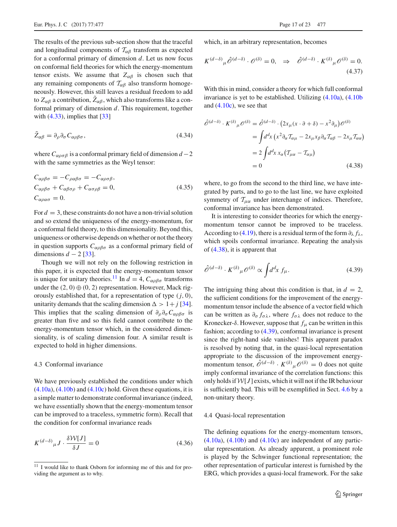The results of the previous sub-section show that the traceful and longitudinal components of  $T_{\alpha\beta}$  transform as expected for a conformal primary of dimension *d*. Let us now focus on conformal field theories for which the energy-momentum tensor exists. We assume that  $Z_{\alpha\beta}$  is chosen such that any remaining components of  $T_{\alpha\beta}$  also transform homogeneously. However, this still leaves a residual freedom to add to  $Z_{\alpha\beta}$  a contribution,  $Z_{\alpha\beta}$ , which also transforms like a conformal primary of dimension *d*. This requirement, together with  $(4.33)$ , implies that  $[33]$ 

$$
\tilde{Z}_{\alpha\beta} = \partial_{\rho}\partial_{\sigma}C_{\alpha\rho\beta\sigma},\tag{4.34}
$$

where  $C_{\alpha\rho\sigma\beta}$  is a conformal primary field of dimension  $d-2$ with the same symmetries as the Weyl tensor:

$$
C_{\alpha\rho\beta\sigma} = -C_{\rho\alpha\beta\sigma} = -C_{\alpha\rho\sigma\beta},
$$
  
\n
$$
C_{\alpha\rho\beta\sigma} + C_{\alpha\beta\sigma\rho} + C_{\alpha\sigma\rho\beta} = 0,
$$
  
\n
$$
C_{\alpha\rho\alpha\sigma} = 0.
$$
\n(4.35)

For  $d = 3$ , these constraints do not have a non-trivial solution and so extend the uniqueness of the energy-momentum, for a conformal field theory, to this dimensionality. Beyond this, uniqueness or otherwise depends on whether or not the theory in question supports  $C_{\alpha\rho\beta\sigma}$  as a conformal primary field of dimensions  $d - 2$  [\[33\]](#page-22-10).

Though we will not rely on the following restriction in this paper, it is expected that the energy-momentum tensor is unique for unitary theories.<sup>11</sup> In  $d = 4$ ,  $C_{\alpha\rho\beta\sigma}$  transforms under the  $(2, 0) \oplus (0, 2)$  representation. However, Mack rigorously established that, for a representation of type (*j*, 0), unitarity demands that the scaling dimension  $\Delta > 1 + j$  [\[34](#page-22-11)]. This implies that the scaling dimension of  $\partial_{\rho} \partial_{\sigma} C_{\alpha \rho \beta \sigma}$  is greater than five and so this field cannot contribute to the energy-momentum tensor which, in the considered dimensionality, is of scaling dimension four. A similar result is expected to hold in higher dimensions.

# <span id="page-16-0"></span>4.3 Conformal invariance

We have previously established the conditions under which  $(4.10a)$ ,  $(4.10b)$  and  $(4.10c)$  hold. Given these equations, it is a simple matter to demonstrate conformal invariance (indeed, we have essentially shown that the energy-momentum tensor can be improved to a traceless, symmetric form). Recall that the condition for conformal invariance reads

$$
K^{(d-\delta)}_{\mu} J \cdot \frac{\delta \mathcal{W}[J]}{\delta J} = 0 \tag{4.36}
$$

which, in an arbitrary representation, becomes

$$
K^{(d-\delta)}{}_{\mu}\hat{\mathcal{O}}^{(d-\delta)}\cdot\mathcal{O}^{(\delta)}=0,\quad\Rightarrow\quad\hat{\mathcal{O}}^{(d-\delta)}\cdot K^{(\delta)}{}_{\mu}\mathcal{O}^{(\delta)}=0.
$$
\n(4.37)

With this in mind, consider a theory for which full conformal invariance is yet to be established. Utilizing [\(4.10a\)](#page-13-3), [\(4.10b](#page-13-4) and  $(4.10c)$ , we see that

$$
\hat{\mathscr{O}}^{(d-\delta)} \cdot K^{(\delta)}{}_{\mu} \mathscr{O}^{(\delta)} = \hat{\mathscr{O}}^{(d-\delta)} \cdot (2x_{\mu}(x \cdot \partial + \delta) - x^2 \partial_{\mu}) \mathscr{O}^{(\delta)}
$$

$$
= \int d^d x \left( x^2 \partial_{\alpha} T_{\alpha \mu} - 2x_{\mu} x_{\beta} \partial_{\alpha} T_{\alpha \beta} - 2x_{\mu} T_{\alpha \alpha} \right)
$$

$$
= 2 \int d^d x \, x_{\alpha} \left( T_{\mu \alpha} - T_{\alpha \mu} \right)
$$

$$
= 0 \tag{4.38}
$$

<span id="page-16-3"></span>where, to go from the second to the third line, we have integrated by parts, and to go to the last line, we have exploited symmetry of  $T_{\mu\alpha}$  under interchange of indices. Therefore, conformal invariance has been demonstrated.

It is interesting to consider theories for which the energymomentum tensor cannot be improved to be traceless. According to [\(4.19\)](#page-14-4), there is a residual term of the form  $\partial_{\lambda} f_{\lambda}$ , which spoils conformal invariance. Repeating the analysis of [\(4.38\)](#page-16-3), it is apparent that

<span id="page-16-4"></span>
$$
\hat{\mathscr{O}}^{(d-\delta)} \cdot K^{(\delta)}{}_{\mu} \mathscr{O}^{(\delta)} \propto \int d^d x \, f_{\mu}.\tag{4.39}
$$

The intriguing thing about this condition is that, in  $d = 2$ , the sufficient conditions for the improvement of the energymomentum tensor include the absence of a vector field which can be written as  $\partial_{\sigma} f_{\sigma \lambda}$ , where  $f_{\sigma \lambda}$  does not reduce to the Kronecker- $\delta$ . However, suppose that  $f_\mu$  can be written in this fashion; according to [\(4.39\)](#page-16-4), conformal invariance is present since the right-hand side vanishes! This apparent paradox is resolved by noting that, in the quasi-local representation appropriate to the discussion of the improvement energymomentum tensor,  $\hat{\mathcal{O}}^{(d-\delta)} \cdot K^{(\delta)}{}_{\mu} \mathcal{O}^{(\delta)} = 0$  does not quite imply conformal invariance of the correlation functions: this only holds if  $W[J]$  exists, which it will not if the IR behaviour is sufficiently bad. This will be exemplified in Sect. [4.6](#page-19-0) by a non-unitary theory.

#### <span id="page-16-1"></span>4.4 Quasi-local representation

The defining equations for the energy-momentum tensors,  $(4.10a)$ ,  $(4.10b)$  and  $(4.10c)$  are independent of any particular representation. As already apparent, a prominent role is played by the Schwinger functional representation; the other representation of particular interest is furnished by the ERG, which provides a quasi-local framework. For the sake

<span id="page-16-2"></span><sup>&</sup>lt;sup>11</sup> I would like to thank Osborn for informing me of this and for providing the argument as to why.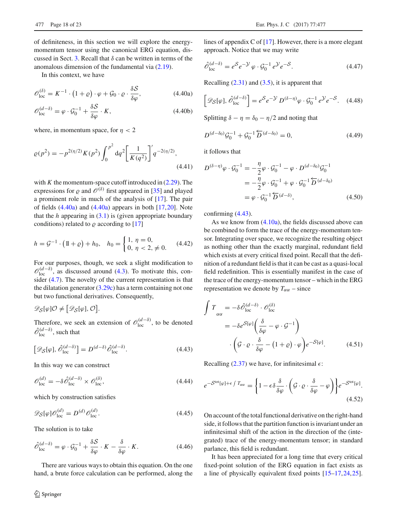of definiteness, in this section we will explore the energymomentum tensor using the canonical ERG equation, dis-cussed in Sect. [3.](#page-9-0) Recall that  $\delta$  can be written in terms of the anomalous dimension of the fundamental via [\(2.19\)](#page-6-2).

In this context, we have

$$
\mathscr{O}_{\text{loc}}^{(\delta)} = K^{-1} \cdot (1 + \varrho) \cdot \varphi + \mathcal{G}_0 \cdot \varrho \cdot \frac{\delta \mathcal{S}}{\delta \varphi},\tag{4.40a}
$$

$$
\mathscr{O}_{\text{loc}}^{(d-\delta)} = \varphi \cdot \mathscr{G}_0^{-1} + \frac{\delta \mathcal{S}}{\delta \varphi} \cdot K,\tag{4.40b}
$$

where, in momentum space, for  $n < 2$ 

$$
\varrho(p^2) = -p^{2(\eta/2)} K(p^2) \int_0^{p^2} dq^2 \left[ \frac{1}{K(q^2)} \right]' q^{-2(\eta/2)},
$$
\n(4.41)

with  $K$  the momentum-space cutoff introduced in  $(2.29)$ . The expressions for  $\rho$  and  $\mathcal{O}^{(\delta)}$  first appeared in [\[35\]](#page-22-12) and played a prominent role in much of the analysis of [\[17\]](#page-21-11). The pair of fields  $(4.40a)$  and  $(4.40a)$  appears in both  $[17,20]$  $[17,20]$  $[17,20]$ . Note that the  $h$  appearing in  $(3.1)$  is (given appropriate boundary conditions) related to  $\rho$  according to [\[17\]](#page-21-11)

$$
h = \mathcal{G}^{-1} \cdot (\mathbb{1} + \varrho) + h_0, \quad h_0 = \begin{cases} 1, & \eta = 0, \\ 0, & \eta < 2, \neq 0. \end{cases} \tag{4.42}
$$

For our purposes, though, we seek a slight modification to  $\mathcal{O}_{\text{loc}}^{(d-\delta)}$ , as discussed around [\(4.3\)](#page-12-2). To motivate this, consider [\(4.7\)](#page-12-5). The novelty of the current representation is that the dilatation generator  $(3.29c)$  has a term containing not one but two functional derivatives. Consequently,

 $\mathscr{D}_{\mathcal{S}}[\varphi]\mathcal{O} \neq [\mathscr{D}_{\mathcal{S}}[\varphi], \mathcal{O}].$ 

<span id="page-17-1"></span>Therefore, we seek an extension of  $\mathcal{O}_{loc}^{(d-\delta)}$ , to be denoted  $\hat{\mathcal{O}}_{\text{loc}}^{(d-\delta)}$ , such that

$$
\left[\mathcal{D}_{\mathcal{S}}[\varphi], \hat{\mathcal{O}}_{\text{loc}}^{(d-\delta)}\right] = D^{(d-\delta)}\hat{\mathcal{O}}_{\text{loc}}^{(d-\delta)}.
$$
\n(4.43)

In this way we can construct

$$
\mathcal{O}_{\text{loc}}^{(d)} = -\delta \hat{\mathcal{O}}_{\text{loc}}^{(d-\delta)} \times \mathcal{O}_{\text{loc}}^{(\delta)},\tag{4.44}
$$

which by construction satisfies

$$
\mathscr{D}_{\mathcal{S}}[\varphi]\mathscr{O}_{\text{loc}}^{(d)} = D^{(d)}\mathscr{O}_{\text{loc}}^{(d)}.\tag{4.45}
$$

<span id="page-17-2"></span>The solution is to take

$$
\hat{\mathcal{O}}_{\text{loc}}^{(d-\delta)} = \varphi \cdot \mathcal{G}_0^{-1} + \frac{\delta \mathcal{S}}{\delta \varphi} \cdot K - \frac{\delta}{\delta \varphi} \cdot K. \tag{4.46}
$$

There are various ways to obtain this equation. On the one hand, a brute force calculation can be performed, along the

lines of appendix C of [\[17](#page-21-11)]. However, there is a more elegant approach. Notice that we may write

$$
\hat{\mathcal{O}}_{\text{loc}}^{(d-\delta)} = e^{\mathcal{S}} e^{-\mathcal{Y}} \varphi \cdot \mathcal{G}_0^{-1} e^{\mathcal{Y}} e^{-\mathcal{S}}.
$$
\n(4.47)

<span id="page-17-0"></span>Recalling  $(2.31)$  and  $(3.5)$ , it is apparent that

$$
\[ \mathscr{D}_{\mathcal{S}}[\varphi], \hat{\mathscr{O}}_{loc}^{(d-\delta)} \] = e^{\mathcal{S}} e^{-\mathcal{Y}} D^{(\delta-\eta)} \varphi \cdot \mathcal{G}_0^{-1} e^{\mathcal{Y}} e^{-\mathcal{S}}.
$$
 (4.48)

<span id="page-17-3"></span>Splitting  $\delta - \eta = \delta_0 - \eta/2$  and noting that

$$
D^{(d-\delta_0)}\mathcal{G}_0^{-1} + \mathcal{G}_0^{-1}\overleftarrow{D}^{(d-\delta_0)} = 0, \tag{4.49}
$$

it follows that

$$
D^{(\delta-\eta)}\varphi \cdot \mathcal{G}_0^{-1} = -\frac{\eta}{2}\varphi \cdot \mathcal{G}_0^{-1} - \varphi \cdot D^{(d-\delta_0)}\mathcal{G}_0^{-1}
$$
  

$$
= -\frac{\eta}{2}\varphi \cdot \mathcal{G}_0^{-1} + \varphi \cdot \mathcal{G}_0^{-1} \overleftarrow{D}^{(d-\delta_0)}
$$
  

$$
= \varphi \cdot \mathcal{G}_0^{-1} \overleftarrow{D}^{(d-\delta)}, \qquad (4.50)
$$

confirming [\(4.43\)](#page-17-1).

As we know from  $(4.10a)$ , the fields discussed above can be combined to form the trace of the energy-momentum tensor. Integrating over space, we recognize the resulting object as nothing other than the exactly marginal, redundant field which exists at every critical fixed point. Recall that the definition of a redundant field is that it can be cast as a quasi-local field redefinition. This is essentially manifest in the case of the trace of the energy-momentum tensor – which in the ERG representation we denote by  $T_{\alpha\alpha}$  – since

$$
\int T_{\alpha\alpha} = -\delta \hat{\mathcal{O}}_{\text{loc}}^{(d-\delta)} \cdot \mathcal{O}_{\text{loc}}^{(\delta)}
$$

$$
= -\delta e^{S[\varphi]} \left( \frac{\delta}{\delta \varphi} - \varphi \cdot \mathcal{G}^{-1} \right)
$$

$$
\cdot \left( \mathcal{G} \cdot \varrho \cdot \frac{\delta}{\delta \varphi} - (1 + \varrho) \cdot \varphi \right) e^{-S[\varphi]}.
$$
(4.51)

Recalling [\(2.37\)](#page-9-7) we have, for infinitesimal  $\epsilon$ :

$$
e^{-S^{\text{tot}}[\varphi] + \epsilon \int T_{\alpha\alpha}} = \left\{ 1 - \epsilon \delta \frac{\delta}{\delta \varphi} \cdot \left( \mathcal{G} \cdot \varrho \cdot \frac{\delta}{\delta \varphi} - \varphi \right) \right\} e^{-S^{\text{tot}}[\varphi]}.
$$
\n(4.52)

On account of the total functional derivative on the right-hand side, it follows that the partition function is invariant under an infinitesimal shift of the action in the direction of the (integrated) trace of the energy-momentum tensor; in standard parlance, this field is redundant.

It has been appreciated for a long time that every critical fixed-point solution of the ERG equation in fact exists as a line of physically equivalent fixed points [\[15](#page-21-9)[–17](#page-21-11)[,24](#page-22-1)[,25](#page-22-2)].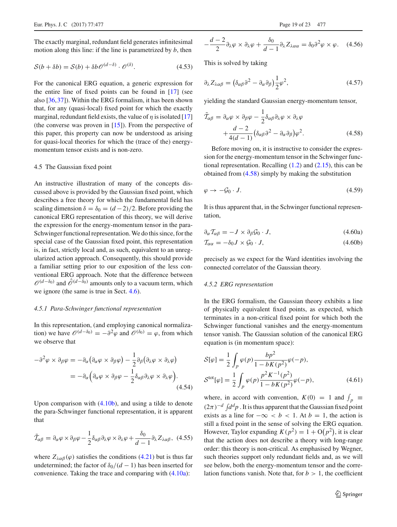The exactly marginal, redundant field generates infinitesimal motion along this line: if the line is parametrized by *b*, then

$$
S(b + \delta b) = S(b) + \delta b \mathcal{O}^{(d-\delta)} \cdot \mathcal{O}^{(\delta)}.
$$
 (4.53)

For the canonical ERG equation, a generic expression for the entire line of fixed points can be found in [\[17](#page-21-11)] (see also [\[36,](#page-22-13)[37\]](#page-22-14)). Within the ERG formalism, it has been shown that, for any (quasi-local) fixed point for which the exactly marginal, redundant field exists, the value of  $\eta$  is isolated [\[17\]](#page-21-11) (the converse was proven in  $[15]$ ). From the perspective of this paper, this property can now be understood as arising for quasi-local theories for which the (trace of the) energymomentum tensor exists and is non-zero.

# <span id="page-18-0"></span>4.5 The Gaussian fixed point

An instructive illustration of many of the concepts discussed above is provided by the Gaussian fixed point, which describes a free theory for which the fundamental field has scaling dimension  $\delta = \delta_0 = (d-2)/2$ . Before providing the canonical ERG representation of this theory, we will derive the expression for the energy-momentum tensor in the para-Schwinger functional representation. We do this since, for the special case of the Gaussian fixed point, this representation is, in fact, strictly local and, as such, equivalent to an unregularized action approach. Consequently, this should provide a familiar setting prior to our exposition of the less conventional ERG approach. Note that the difference between  $\mathcal{O}^{(d-\delta_0)}$  and  $\hat{\mathcal{O}}^{(d-\delta_0)}$  amounts only to a vacuum term, which we ignore (the same is true in Sect. [4.6\)](#page-19-0).

#### <span id="page-18-1"></span>*4.5.1 Para-Schwinger functional representation*

In this representation, (and employing canonical normalization) we have  $\mathcal{O}^{(d-\delta_0)} = -\partial^2 \varphi$  and  $\mathcal{O}^{(\delta_0)} = \varphi$ , from which we observe that

$$
-\partial^2 \varphi \times \partial_{\beta} \varphi = -\partial_{\alpha} (\partial_{\alpha} \varphi \times \partial_{\beta} \varphi) - \frac{1}{2} \partial_{\beta} (\partial_{\lambda} \varphi \times \partial_{\lambda} \varphi)
$$
  
= 
$$
-\partial_{\alpha} (\partial_{\alpha} \varphi \times \partial_{\beta} \varphi - \frac{1}{2} \delta_{\alpha \beta} \partial_{\lambda} \varphi \times \partial_{\lambda} \varphi).
$$
(4.54)

Upon comparison with [\(4.10b\)](#page-13-4), and using a tilde to denote the para-Schwinger functional representation, it is apparent that

$$
\tilde{\mathcal{I}}_{\alpha\beta} = \partial_{\alpha}\varphi \times \partial_{\beta}\varphi - \frac{1}{2}\delta_{\alpha\beta}\partial_{\lambda}\varphi \times \partial_{\lambda}\varphi + \frac{\delta_0}{d-1}\partial_{\lambda}Z_{\lambda\alpha\beta}, \tag{4.55}
$$

where  $Z_{\lambda\alpha\beta}(\varphi)$  satisfies the conditions [\(4.21\)](#page-14-5) but is thus far undetermined; the factor of  $\delta_0/(d-1)$  has been inserted for convenience. Taking the trace and comparing with [\(4.10a\)](#page-13-3):

$$
-\frac{d-2}{2}\partial_{\lambda}\varphi \times \partial_{\lambda}\varphi + \frac{\delta_0}{d-1}\partial_{\lambda}Z_{\lambda\alpha\alpha} = \delta_0\partial^2\varphi \times \varphi. \quad (4.56)
$$

This is solved by taking

$$
\partial_{\lambda} Z_{\lambda \alpha \beta} = \left( \delta_{\alpha \beta} \partial^2 - \partial_{\alpha} \partial_{\beta} \right) \frac{1}{2} \varphi^2, \tag{4.57}
$$

yielding the standard Gaussian energy-momentum tensor,

<span id="page-18-3"></span>
$$
\tilde{\mathcal{T}}_{\alpha\beta} = \partial_{\alpha}\varphi \times \partial_{\beta}\varphi - \frac{1}{2}\delta_{\alpha\beta}\partial_{\lambda}\varphi \times \partial_{\lambda}\varphi \n+ \frac{d-2}{4(d-1)}(\delta_{\alpha\beta}\partial^2 - \partial_{\alpha}\partial_{\beta})\varphi^2.
$$
\n(4.58)

Before moving on, it is instructive to consider the expression for the energy-momentum tensor in the Schwinger functional representation. Recalling  $(1.2)$  and  $(2.15)$ , this can be obtained from [\(4.58\)](#page-18-3) simply by making the substitution

$$
\varphi \to -\mathcal{G}_0 \cdot J. \tag{4.59}
$$

It is thus apparent that, in the Schwinger functional representation,

$$
\partial_{\alpha} \mathcal{T}_{\alpha\beta} = -J \times \partial_{\beta} \mathcal{G}_0 \cdot J, \qquad (4.60a)
$$

$$
\mathcal{T}_{\alpha\alpha} = -\delta_0 J \times \mathcal{G}_0 \cdot J,\tag{4.60b}
$$

precisely as we expect for the Ward identities involving the connected correlator of the Gaussian theory.

# <span id="page-18-2"></span>*4.5.2 ERG representation*

In the ERG formalism, the Gaussian theory exhibits a line of physically equivalent fixed points, as expected, which terminates in a non-critical fixed point for which both the Schwinger functional vanishes and the energy-momentum tensor vanish. The Gaussian solution of the canonical ERG equation is (in momentum space):

$$
S[\varphi] = \frac{1}{2} \int_{p} \varphi(p) \frac{bp^2}{1 - bK(p^2)} \varphi(-p),
$$
  
\n
$$
S^{\text{tot}}[\varphi] = \frac{1}{2} \int_{p} \varphi(p) \frac{p^2 K^{-1}(p^2)}{1 - bK(p^2)} \varphi(-p),
$$
\n(4.61)

where, in accord with convention,  $K(0) = 1$  and  $\int_p$  $(2\pi)^{-d} \int d^d p$ . It is thus apparent that the Gaussian fixed point exists as a line for  $-\infty < b < 1$ . At  $b = 1$ , the action is still a fixed point in the sense of solving the ERG equation. However, Taylor expanding  $K(p^2) = 1 + O(p^2)$ , it is clear that the action does not describe a theory with long-range order: this theory is non-critical. As emphasised by Wegner, such theories support only redundant fields and, as we will see below, both the energy-momentum tensor and the correlation functions vanish. Note that, for  $b > 1$ , the coefficient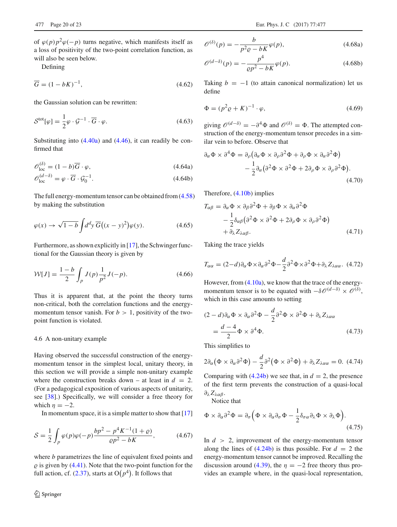of  $\varphi(p)p^2\varphi(-p)$  turns negative, which manifests itself as a loss of positivity of the two-point correlation function, as will also be seen below.

Defining

$$
\overline{G} = (1 - bK)^{-1},\tag{4.62}
$$

the Gaussian solution can be rewritten:

$$
\mathcal{S}^{\text{tot}}[\varphi] = \frac{1}{2}\varphi \cdot \mathcal{G}^{-1} \cdot \overline{G} \cdot \varphi. \tag{4.63}
$$

Substituting into [\(4.40a\)](#page-17-0) and [\(4.46\)](#page-17-2), it can readily be confirmed that

$$
\mathscr{O}_{\text{loc}}^{(\delta)} = (1 - b)\overline{G} \cdot \varphi,\tag{4.64a}
$$

$$
\mathscr{O}_{\text{loc}}^{(d-\delta)} = \varphi \cdot \overline{G} \cdot \mathscr{G}_0^{-1}.
$$
\n(4.64b)

The full energy-momentum tensor can be obtained from [\(4.58\)](#page-18-3) by making the substitution

$$
\varphi(x) \to \sqrt{1-b} \int d^d y \, \overline{G}\big((x-y)^2\big)\varphi(y). \tag{4.65}
$$

Furthermore, as shown explicitly in [\[17](#page-21-11)], the Schwinger functional for the Gaussian theory is given by

$$
\mathcal{W}[J] = \frac{1-b}{2} \int_{p} J(p) \frac{1}{p^2} J(-p). \tag{4.66}
$$

Thus it is apparent that, at the point the theory turns non-critical, both the correlation functions and the energymomentum tensor vanish. For  $b > 1$ , positivity of the twopoint function is violated.

## <span id="page-19-0"></span>4.6 A non-unitary example

Having observed the successful construction of the energymomentum tensor in the simplest local, unitary theory, in this section we will provide a simple non-unitary example where the construction breaks down – at least in  $d = 2$ . (For a pedagogical exposition of various aspects of unitarity, see [\[38](#page-22-15)].) Specifically, we will consider a free theory for which  $n = -2$ .

In momentum space, it is a simple matter to show that [\[17\]](#page-21-11)

$$
S = \frac{1}{2} \int_{p} \varphi(p)\varphi(-p) \frac{bp^2 - p^4 K^{-1}(1+\varrho)}{\varrho p^2 - bK},
$$
 (4.67)

where *b* parametrizes the line of equivalent fixed points and  $\varrho$  is given by [\(4.41\)](#page-17-3). Note that the two-point function for the full action, cf.  $(2.37)$ , starts at  $O(p<sup>4</sup>)$ . It follows that

$$
\mathscr{O}^{(\delta)}(p) = -\frac{b}{p^2 \varrho - bK} \varphi(p),\tag{4.68a}
$$

$$
\mathcal{O}^{(d-\delta)}(p) = -\frac{p^4}{\varrho p^2 - bK} \varphi(p).
$$
 (4.68b)

Taking  $b = -1$  (to attain canonical normalization) let us define

$$
\Phi = (p^2 \varrho + K)^{-1} \cdot \varphi,\tag{4.69}
$$

giving  $\mathcal{O}^{(d-\delta)} = -\partial^4 \Phi$  and  $\mathcal{O}^{(\delta)} = \Phi$ . The attempted construction of the energy-momentum tensor precedes in a similar vein to before. Observe that

$$
\partial_{\alpha} \Phi \times \partial^{4} \Phi = \partial_{\rho} \left( \partial_{\alpha} \Phi \times \partial_{\rho} \partial^{2} \Phi + \partial_{\rho} \Phi \times \partial_{\alpha} \partial^{2} \Phi \right) \n- \frac{1}{2} \partial_{\alpha} \left( \partial^{2} \Phi \times \partial^{2} \Phi + 2 \partial_{\rho} \Phi \times \partial_{\rho} \partial^{2} \Phi \right).
$$
\n(4.70)

Therefore, [\(4.10b\)](#page-13-4) implies

$$
T_{\alpha\beta} = \partial_{\alpha} \Phi \times \partial_{\beta} \partial^2 \Phi + \partial_{\beta} \Phi \times \partial_{\alpha} \partial^2 \Phi
$$
  
 
$$
- \frac{1}{2} \delta_{\alpha\beta} (\partial^2 \Phi \times \partial^2 \Phi + 2 \partial_{\rho} \Phi \times \partial_{\rho} \partial^2 \Phi)
$$
  
 
$$
+ \partial_{\lambda} Z_{\lambda\alpha\beta}.
$$
 (4.71)

Taking the trace yields

$$
T_{\alpha\alpha} = (2-d)\partial_{\alpha}\Phi \times \partial_{\alpha}\partial^2 \Phi - \frac{d}{2}\partial^2 \Phi \times \partial^2 \Phi + \partial_{\lambda}Z_{\lambda\alpha\alpha}.
$$
 (4.72)

However, from [\(4.10a\)](#page-13-3), we know that the trace of the energymomentum tensor is to be equated with  $-\delta\mathcal{O}^{(d-\delta)} \times \mathcal{O}^{(\delta)}$ , which in this case amounts to setting

$$
(2 - d)\partial_{\alpha}\Phi \times \partial_{\alpha}\partial^2\Phi - \frac{d}{2}\partial^2\Phi \times \partial^2\Phi + \partial_{\lambda}Z_{\lambda\alpha\alpha}
$$
  
=  $\frac{d - 4}{2}\Phi \times \partial^4\Phi.$  (4.73)

This simplifies to

<span id="page-19-1"></span>
$$
2\partial_{\alpha}(\Phi \times \partial_{\alpha}\partial^2 \Phi) - \frac{d}{2}\partial^2(\Phi \times \partial^2 \Phi) + \partial_{\lambda}Z_{\lambda\alpha\alpha} = 0.
$$
 (4.74)

Comparing with  $(4.24b)$  we see that, in  $d = 2$ , the presence of the first term prevents the construction of a quasi-local ∂λ*Z*λαβ.

Notice that

$$
\Phi \times \partial_{\alpha} \partial^2 \Phi = \partial_{\sigma} \left( \Phi \times \partial_{\alpha} \partial_{\sigma} \Phi - \frac{1}{2} \delta_{\sigma \alpha} \partial_{\lambda} \Phi \times \partial_{\lambda} \Phi \right).
$$
\n(4.75)

In  $d > 2$ , improvement of the energy-momentum tensor along the lines of  $(4.24b)$  is thus possible. For  $d = 2$  the energy-momentum tensor cannot be improved. Recalling the discussion around [\(4.39\)](#page-16-4), the  $\eta = -2$  free theory thus provides an example where, in the quasi-local representation,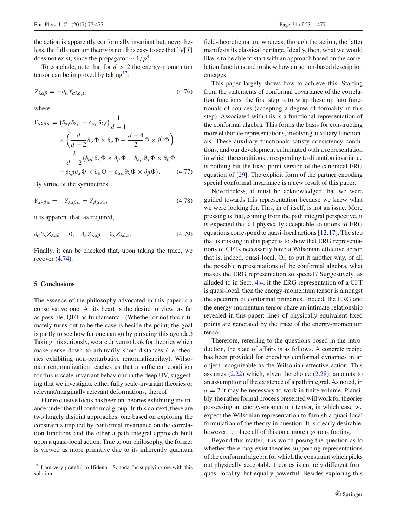the action is apparently conformally invariant but, nevertheless, the full quantum theory is not. It is easy to see that *W*[*J* ] does not exist, since the propagator  $\sim 1/p^4$ .

To conclude, note that for  $d > 2$  the energy-momentum tensor can be improved by taking $^{12}$ :

$$
Z_{\lambda\alpha\beta} = -\partial_{\mu} Y_{\alpha\lambda\beta\mu},\tag{4.76}
$$

where

$$
Y_{\alpha\lambda\beta\mu} = (\delta_{\alpha\beta}\delta_{\lambda\mu} - \delta_{\alpha\mu}\delta_{\lambda\beta})\frac{1}{d-1}
$$
  
 
$$
\times \left(\frac{d}{d-2}\partial_{\gamma}\Phi \times \partial_{\gamma}\Phi - \frac{d-4}{2}\Phi \times \partial^2\Phi\right)
$$
  
 
$$
-\frac{2}{d-2}(\delta_{\alpha\beta}\partial_{\lambda}\Phi \times \partial_{\mu}\Phi + \delta_{\lambda\mu}\partial_{\alpha}\Phi \times \partial_{\beta}\Phi
$$
  
 
$$
-\delta_{\lambda\beta}\partial_{\alpha}\Phi \times \partial_{\mu}\Phi - \delta_{\alpha\mu}\partial_{\lambda}\Phi \times \partial_{\beta}\Phi). \qquad (4.77)
$$

By virtue of the symmetries

$$
Y_{\alpha\lambda\beta\mu} = -Y_{\lambda\alpha\beta\mu} = Y_{\beta\mu\alpha\lambda},\tag{4.78}
$$

it is apparent that, as required,

$$
\partial_{\alpha}\partial_{\lambda}Z_{\lambda\alpha\beta}=0, \quad \partial_{\lambda}Z_{\lambda\alpha\beta}=\partial_{\lambda}Z_{\lambda\beta\alpha}.
$$
 (4.79)

Finally, it can be checked that, upon taking the trace, we recover [\(4.74\)](#page-19-1).

# <span id="page-20-0"></span>**5 Conclusions**

The essence of the philosophy advocated in this paper is a conservative one. At its heart is the desire to view, as far as possible, QFT as fundamental. (Whether or not this ultimately turns out to be the case is beside the point; the goal is partly to see how far one can go by pursuing this agenda.) Taking this seriously, we are driven to look for theories which make sense down to arbitrarily short distances (i.e. theories exhibiting non-perturbative renormalizability). Wilsonian renormalization teaches us that a sufficient condition for this is scale-invariant behaviour in the deep UV, suggesting that we investigate either fully scale-invariant theories or relevant/marginally relevant deformations, thereof.

Our exclusive focus has been on theories exhibiting invariance under the full conformal group. In this context, there are two largely disjoint approaches: one based on exploring the constraints implied by conformal invariance on the correlation functions and the other a path integral approach built upon a quasi-local action. True to our philosophy, the former is viewed as more primitive due to its inherently quantum

field-theoretic nature whereas, through the action, the latter manifests its classical heritage. Ideally, then, what we would like is to be able to start with an approach based on the correlation functions and to show how an action-based description emerges.

This paper largely shows how to achieve this. Starting from the statements of conformal covariance of the correlation functions, the first step is to wrap these up into functionals of sources (accepting a degree of formality in this step). Associated with this is a functional representation of the conformal algebra. This forms the basis for constructing more elaborate representations, involving auxiliary functionals. These auxiliary functionals satisfy consistency conditions, and our development culminated with a representation in which the condition corresponding to dilatation invariance is nothing but the fixed-point version of the canonical ERG equation of [\[29\]](#page-22-6). The explicit form of the partner encoding special conformal invariance is a new result of this paper.

Nevertheless, it must be acknowledged that we were guided towards this representation because we knew what we were looking for. This, in of itself, is not an issue. More pressing is that, coming from the path integral perspective, it is expected that all physically acceptable solutions to ERG equations correspond to quasi-local actions  $[12,17]$  $[12,17]$  $[12,17]$ . The step that is missing in this paper is to show that ERG representations of CFTs necessarily have a Wilsonian effective action that is, indeed, quasi-local. Or, to put it another way, of all the possible representations of the conformal algebra, what makes the ERG representation so special? Suggestively, as alluded to in Sect. [4.4,](#page-16-1) if the ERG representation of a CFT is quasi-local, then the energy-momentum tensor is amongst the spectrum of conformal primaries. Indeed, the ERG and the energy-momentum tensor share an intimate relationship revealed in this paper: lines of physically equivalent fixed points are generated by the trace of the energy-momentum tensor.

Therefore, referring to the questions posed in the introduction, the state of affairs is as follows. A concrete recipe has been provided for encoding conformal dynamics in an object recognizable as the Wilsonian effective action. This assumes  $(2.22)$  which, given the choice  $(2.28)$ , amounts to an assumption of the existence of a path integral. As noted, in  $d = 2$  it may be necessary to work in finite volume. Plausibly, the rather formal process presented will work for theories possessing an energy-momentum tensor, in which case we expect the Wilsonian representation to furnish a quasi-local formulation of the theory in question. It is clearly desirable, however, to place all of this on a more rigorous footing.

Beyond this matter, it is worth posing the question as to whether there may exist theories supporting representations of the conformal algebra for which the constraint which picks out physically acceptable theories is entirely different from quasi-locality, but equally powerful. Besides exploring this

<span id="page-20-1"></span><sup>12</sup> I am very grateful to Hidenori Sonoda for supplying me with this solution.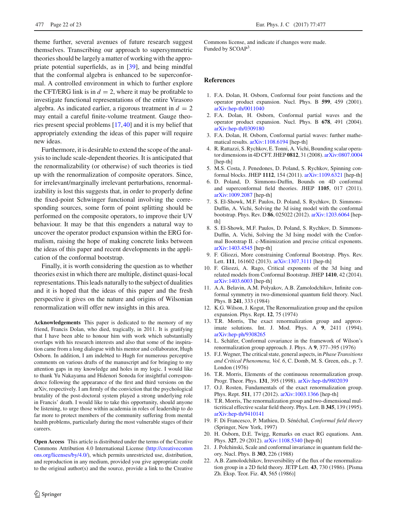theme further, several avenues of future research suggest themselves. Transcribing our approach to supersymmetric theories should be largely a matter of working with the appropriate potential superfields, as in [\[39](#page-22-16)], and being mindful that the conformal algebra is enhanced to be superconformal. A controlled environment in which to further explore the CFT/ERG link is in  $d = 2$ , where it may be profitable to investigate functional representations of the entire Virasoro algebra. As indicated earlier, a rigorous treatment in  $d = 2$ may entail a careful finite-volume treatment. Gauge theories present special problems [\[17,](#page-21-11)[40\]](#page-22-17) and it is my belief that appropriately extending the ideas of this paper will require new ideas.

Furthermore, it is desirable to extend the scope of the analysis to include scale-dependent theories. It is anticipated that the renormalizability (or otherwise) of such theories is tied up with the renormalization of composite operators. Since, for irrelevant/marginally irrelevant perturbations, renormalizability is lost this suggests that, in order to properly define the fixed-point Schwinger functional involving the corresponding sources, some form of point splitting should be performed on the composite operators, to improve their UV behaviour. It may be that this engenders a natural way to uncover the operator product expansion within the ERG formalism, raising the hope of making concrete links between the ideas of this paper and recent developments in the application of the conformal bootstrap.

Finally, it is worth considering the question as to whether theories exist in which there are multiple, distinct quasi-local representations. This leads naturally to the subject of dualities and it is hoped that the ideas of this paper and the fresh perspective it gives on the nature and origins of Wilsonian renormalization will offer new insights in this area.

**Acknowledgements** This paper is dedicated to the memory of my friend, Francis Dolan, who died, tragically, in 2011. It is gratifying that I have been able to honour him with work which substantially overlaps with his research interests and also that some of the inspiration came from a long dialogue with his mentor and collaborator, Hugh Osborn. In addition, I am indebted to Hugh for numerous perceptive comments on various drafts of the manuscript and for bringing to my attention gaps in my knowledge and holes in my logic. I would like to thank Yu Nakayama and Hidenori Sonoda for insightful correspondence following the appearance of the first and third versions on the arXiv, respectively. I am firmly of the conviction that the psychological brutality of the post-doctoral system played a strong underlying role in Francis' death. I would like to take this opportunity, should anyone be listening, to urge those within academia in roles of leadership to do far more to protect members of the community suffering from mental health problems, particularly during the most vulnerable stages of their careers.

**Open Access** This article is distributed under the terms of the Creative Commons Attribution 4.0 International License [\(http://creativecomm](http://creativecommons.org/licenses/by/4.0/) [ons.org/licenses/by/4.0/\)](http://creativecommons.org/licenses/by/4.0/), which permits unrestricted use, distribution, and reproduction in any medium, provided you give appropriate credit to the original author(s) and the source, provide a link to the Creative Commons license, and indicate if changes were made. Funded by SCOAP3.

#### <span id="page-21-0"></span>**References**

- <span id="page-21-1"></span>1. F.A. Dolan, H. Osborn, Conformal four point functions and the operator product expansion. Nucl. Phys. B **599**, 459 (2001). [arXiv:hep-th/0011040](http://arxiv.org/abs/hep-th/0011040)
- 2. F.A. Dolan, H. Osborn, Conformal partial waves and the operator product expansion. Nucl. Phys. B **678**, 491 (2004). [arXiv:hep-th/0309180](http://arxiv.org/abs/hep-th/0309180)
- <span id="page-21-2"></span>3. F.A. Dolan, H. Osborn, Conformal partial waves: further mathematical results. [arXiv:1108.6194](http://arxiv.org/abs/1108.6194) [hep-th]
- <span id="page-21-3"></span>4. R. Rattazzi, S. Rychkov, E. Tonni, A. Vichi, Bounding scalar operator dimensions in 4D CFT. JHEP **0812**, 31 (2008). [arXiv:0807.0004](http://arxiv.org/abs/0807.0004) [hep-th]
- 5. M.S. Costa, J. Penedones, D. Poland, S. Rychkov, Spinning conformal blocks. JHEP **1112**, 154 (2011). [arXiv:1109.6321](http://arxiv.org/abs/1109.6321) [hep-th]
- 6. D. Poland, D. Simmons-Duffin, Bounds on 4D conformal and superconformal field theories. JHEP **1105**, 017 (2011). [arXiv:1009.2087](http://arxiv.org/abs/1009.2087) [hep-th]
- <span id="page-21-17"></span>7. S. El-Showk, M.F. Paulos, D. Poland, S. Rychkov, D. Simmons-Duffin, A. Vichi, Solving the 3d ising model with the conformal bootstrap. Phys. Rev. D **86**, 025022 (2012). [arXiv:1203.6064](http://arxiv.org/abs/1203.6064) [hepth<sub>1</sub>
- <span id="page-21-18"></span>8. S. El-Showk, M.F. Paulos, D. Poland, S. Rychkov, D. Simmons-Duffin, A. Vichi, Solving the 3d Ising model with the Conformal Bootstrap II. c-Minimization and precise critical exponents. [arXiv:1403.4545](http://arxiv.org/abs/1403.4545) [hep-th]
- 9. F. Gliozzi, More constraining Conformal Bootstrap. Phys. Rev. Lett. **111**, 161602 (2013). [arXiv:1307.3111](http://arxiv.org/abs/1307.3111) [hep-th]
- <span id="page-21-4"></span>10. F. Gliozzi, A. Rago, Critical exponents of the 3d Ising and related models from Conformal Bootstrap. JHEP **1410**, 42 (2014). [arXiv:1403.6003](http://arxiv.org/abs/1403.6003) [hep-th]
- <span id="page-21-5"></span>11. A.A. Belavin, A.M. Polyakov, A.B. Zamolodchikov, Infinite conformal symmetry in two-dimensional quantum field theory. Nucl. Phys. B **241**, 333 (1984)
- <span id="page-21-6"></span>12. K.G. Wilson, J. Kogut, The Renormalization group and the epsilon expansion. Phys. Rept. **12**, 75 (1974)
- <span id="page-21-7"></span>13. T.R. Morris, The exact renormalization group and approximate solutions. Int. J. Mod. Phys. A **9**, 2411 (1994). [arXiv:hep-ph/9308265](http://arxiv.org/abs/hep-ph/9308265)
- <span id="page-21-8"></span>14. L. Schäfer, Conformal covariance in the framework of Wilson's renormalization group approach. J. Phys. A **9**, 377–395 (1976)
- <span id="page-21-9"></span>15. F.J. Wegner, The critical state, general aspects, in *Phase Transitions and Critical Phenomena, Vol. 6*, C. Domb, M. S. Green, eds., p. 7. London (1976)
- <span id="page-21-10"></span>16. T.R. Morris, Elements of the continuous renormalization group. Progr. Theor. Phys. **131**, 395 (1998). [arXiv:hep-th/9802039](http://arxiv.org/abs/hep-th/9802039)
- <span id="page-21-11"></span>17. O.J. Rosten, Fundamentals of the exact renormalization group. Phys. Rept. **511**, 177 (2012). [arXiv:1003.1366](http://arxiv.org/abs/1003.1366) [hep-th]
- <span id="page-21-12"></span>18. T.R. Morris, The renormalization group and two-dimensional multicritical effective scalar field theory. Phys. Lett. B **345**, 139 (1995). [arXiv:hep-th/9410141](http://arxiv.org/abs/hep-th/9410141)
- <span id="page-21-13"></span>19. F. Di Francesco, P. Mathieu, D. Sénéchal, *Conformal field theory* (Springer, New York, 1997)
- <span id="page-21-14"></span>20. H. Osborn, D.E. Twigg, Remarks on exact RG equations. Ann. Phys. **327**, 29 (2012). [arXiv:1108.5340](http://arxiv.org/abs/1108.5340) [hep-th]
- <span id="page-21-15"></span>21. J. Polchinski, Scale and conformal invariance in quantum field theory. Nucl. Phys. B **303**, 226 (1988)
- <span id="page-21-16"></span>22. A.B. Zamolodchikov, Irreversibility of the flux of the renormalization group in a 2D field theory. JETP Lett. **43**, 730 (1986). [Pisma Zh. Eksp. Teor. Fiz. **43**, 565 (1986)]